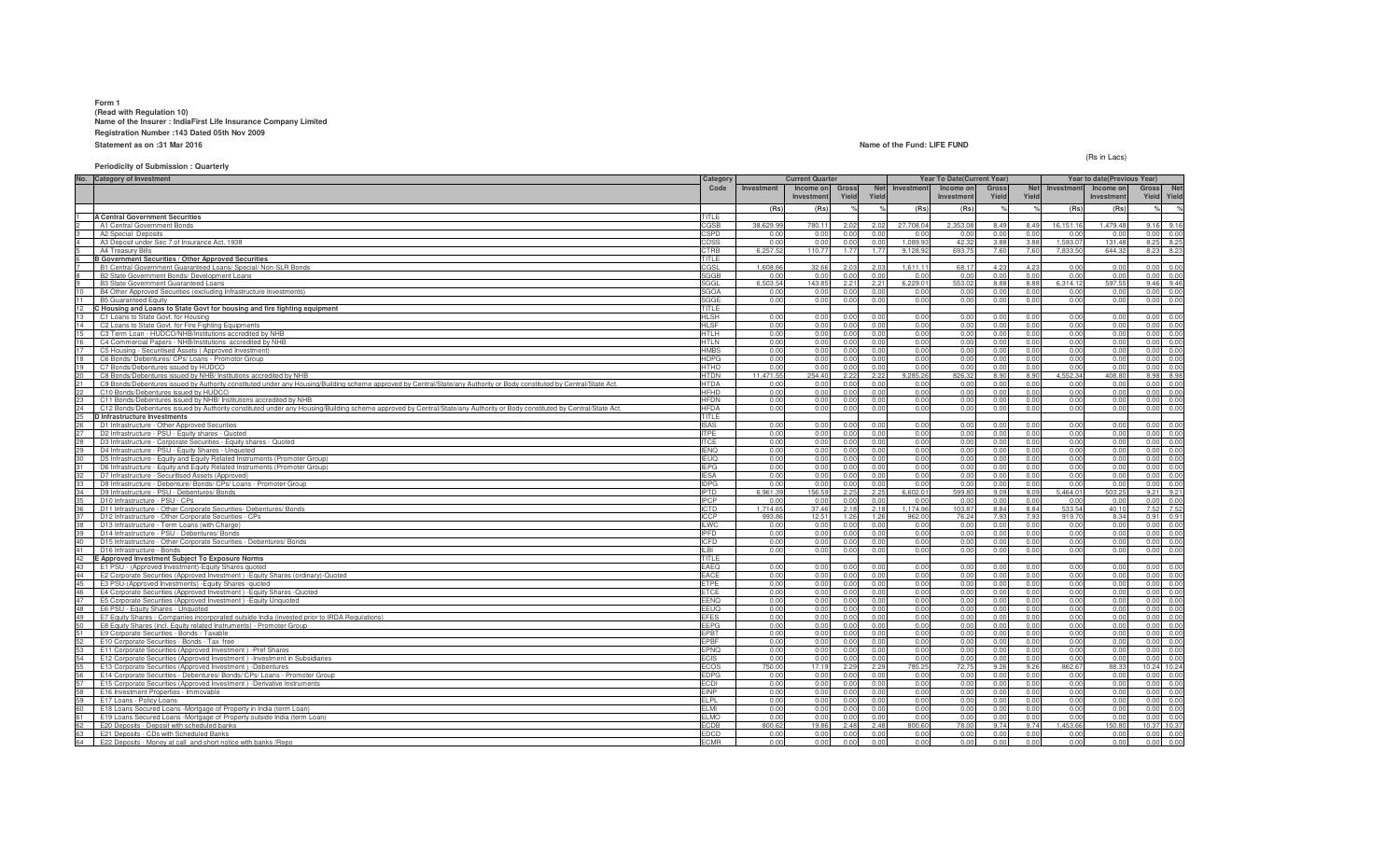## **Form 1 (Read with Regulation 10) Name of the Insurer : IndiaFirst Life Insurance Company LimitedRegistration Number :143 Dated 05th Nov 2009Statement as on :31 Mar 2016**

#### **Name of the Fund: LIFE FUND**

(Rs in Lacs)

### **Periodicity of Submission : Quarterly**

| No. Category of Investment                                                                                                                                                    | Category                   | <b>Current Quarter</b> |              |              |              | Year To Date(Current Year) |              |              |              |              | Year to date(Previous Year) |                              |
|-------------------------------------------------------------------------------------------------------------------------------------------------------------------------------|----------------------------|------------------------|--------------|--------------|--------------|----------------------------|--------------|--------------|--------------|--------------|-----------------------------|------------------------------|
|                                                                                                                                                                               | Code                       | Investment             | Income on    | <b>Gross</b> | Net          | Investment                 | Income on    | Gross        | <b>Net</b>   | Investment   | Income on                   | Gross<br><b>Net</b>          |
|                                                                                                                                                                               |                            |                        | Investment   | Yield        | Yield        |                            | Investmen    | Yield        | Yield        |              | Investment                  | Yield<br>Yield               |
|                                                                                                                                                                               |                            | (Rs)                   | (Rs)         |              |              | (Rs)                       | (Rs)         |              |              | (Rs)         | (Rs)                        | $O_{\alpha}$                 |
| <b>A Central Government Securities</b>                                                                                                                                        | <b>TITLE</b>               |                        |              |              |              |                            |              |              |              |              |                             |                              |
| A1 Central Government Bonds                                                                                                                                                   | CGSB                       | 38,629.99              | 780.11       | 2.02         | 2.02         | 27.708.04                  | 2.353.08     | 8.49         | 8.49         | 16.151.16    | 1.479.48                    | 9.16<br>916                  |
| A2 Special Deposits                                                                                                                                                           | CSPD                       | 0.00                   | 0.00         | 0.00         | 0.00         | 0.00                       | 0.00         | 0.00         | 0.00         | 0.00         | 0.00                        | 0.00<br>0.00                 |
| A3 Deposit under Sec 7 of Insurance Act. 1938                                                                                                                                 | CDSS                       | 0.00                   | 0.00         | 0.00         | 0.00         | 1.089.93                   | 42.32        | 3.88         | 3.88         | 1.593.0      | 131.48                      | 8.25<br>8.25                 |
| A4 Treasury Bills                                                                                                                                                             | CTRB                       | 6,257.52               | 110.77       | 1.77         | 1.77         | 9,128.92                   | 693.75       | 7.60         | 7.60         | 7,833.50     | 644.32                      | 8.23<br>8.23                 |
| <b>B Government Securities / Other Approved Securities</b>                                                                                                                    | TITLE                      |                        |              |              |              |                            |              |              |              |              |                             |                              |
| B1 Central Government Guaranteed Loans/ Special/ Non-SLR Bonds                                                                                                                | CGSL                       | 1.608.66               | 32.66        | 2.03         | 2.03         | 1.611.11                   | 68.17        | 4.23         | 4.23         | 0.00         | 0.00                        | 0.00<br>0.00                 |
| B2 State Government Bonds/ Development Loans                                                                                                                                  | SGGB                       | 0.00                   | 0.00         | n nr         | 0.00         | 0.00                       | 0.00         | 0.00         | 0.00         | 0.00         | 0.00                        | 0.0(<br>0.00                 |
| B3 State Government Guaranteed Loans                                                                                                                                          | SGGL                       | 6.503.54               | 143.85       | 2.21         | 2.21         | 6.229.01                   | 553.02       | 8.88         | 8.88         | 6.314.12     | 597.55                      | 9.46<br>9.46                 |
| B4 Other Approved Securities (excluding Infrastructure Investments)                                                                                                           | <b>SGOA</b>                | 0.00                   | 0.00         | 0.00         | 0.00         | 0.00                       | 0.00         | 0.00         | 0.00         | 0.00         | 0.00                        | 0.00<br>0.00                 |
| <b>B5 Guaranteed Equity</b>                                                                                                                                                   | SGGE                       | 0.00                   | 0.00         | 0.00         | 0.00         | 0.00                       | 0.00         | 0.00         | 0.00         | 0.00         | 0.00                        | 0.00<br>0.00                 |
| C Housing and Loans to State Govt for housing and fire fighting equipment                                                                                                     | TITLE                      |                        |              |              |              |                            |              |              |              |              |                             |                              |
| C1 Loans to State Govt, for Housing                                                                                                                                           | <b>HLSH</b><br><b>HLSE</b> | 0.00                   | 0.00         | 0.00         | 0.00<br>0.00 | 0.00                       | 0.00         | 0.00         | 0.00         | 0.00<br>0.00 | 0.00                        | 0.00<br>0.00                 |
| C2 Loans to State Govt. for Fire Fighting Equipments<br>C3 Term Loan - HUDCO/NHB/Institutions accredited by NHB                                                               | <b>HTLH</b>                | 0.00<br>0.00           | 0.00<br>0.00 | 0.00<br>0.00 | 0.00         | 0.00<br>0.00               | 0.00<br>0.00 | 0.00<br>0.00 | 0.00<br>0.00 | 0.00         | 0.00<br>0.00                | 0.0(<br>0.00<br>0.00<br>0.00 |
| C4 Commercial Papers - NHB/Institutions accredited by NHB                                                                                                                     | <b>HTLN</b>                | 0.00                   | 0.00         | 0.00         | 0.00         | 0.00                       | 0.00         | 0.00         | 0.00         | 0.00         | 0.00                        | 0.00<br>0.00                 |
| C5 Housing - Securitised Assets (Approved Investment)                                                                                                                         | <b>HMBS</b>                | 0.00                   | 0.00         | 0.00         | 0.00         | 0.00                       | 0.00         | 0.00         | 0.00         | 0.00         | 0.00                        | 0.00<br>0.00                 |
| C6 Bonds/ Debentures/ CPs/ Loans - Promotor Group                                                                                                                             | <b>HDPG</b>                | 0.00                   | 0.00         | 0.00         | 0.00         | 0.00                       | 0.00         | 0.00         | 0.00         | 0.00         | 0.00                        | 0.00<br>0.00                 |
| C7 Bonds/Debentures issued by HUDCO                                                                                                                                           | <b>HTHD</b>                | 0.00                   | 0.00         | 0.00         | 0.00         | 0.00                       | 0.00         | 0.00         | 0.00         | 0.00         | 0.00                        | 0.00<br>0.00                 |
| C8 Bonds/Debentures issued by NHB/ Institutions accredited by NHB                                                                                                             | <b>HTDN</b>                | 11.471.55              | 254.40       | 2.22         | 2.22         | 9,285.26                   | 826.32       | 8.90         | 8.90         | 4.552.34     | 408.80                      | 8.98<br>8.98                 |
| 21<br>C9 Bonds/Debentures issued by Authority constituted under any Housing/Building scheme approved by Central/State/any Authority or Body constituted by Central/State Act. | <b>HTDA</b>                | 0.00                   | 0.00         | 0.00         | 0.00         | 0.00                       | 0.00         | 0.00         | 0.00         | 0.00         | 0.00                        | 0.00<br>0.00                 |
| C10 Bonds/Debentures issued by HUDCO                                                                                                                                          | <b>HFHD</b>                | 0.00                   | 0.00         | 0.00         | 0.00         | 0.00                       | 0.00         | 0.00         | 0.00         | 0.00         | 0.00                        | 0.00<br>0.00                 |
| C11 Bonds/Debentures issued by NHB/ Institutions accredited by NHB                                                                                                            | <b>HFDN</b>                | 0.00                   | 0.00         | n nn         | 0.00         | 0.00                       | 0.00         | 0.00         | 0.00         | 0.00         | 0.00                        | 0.00<br>0.00                 |
| C12 Bonds/Debentures issued by Authority constituted under any Housing/Building scheme approved by Central/State/any Authority or Body constituted by Central/State Act.      | <b>HFDA</b>                | 0.00                   | 0.00         | 0.00         | 0.00         | 0.00                       | 0.00         | 0.00         | 0.00         | 0.00         | 0.00                        | 0.00<br>0.00                 |
| <b>D</b> Infrastructure Investments                                                                                                                                           | <b>TITLE</b>               |                        |              |              |              |                            |              |              |              |              |                             |                              |
| D1 Infrastructure - Other Approved Securities                                                                                                                                 | <b>ISAS</b>                | 0.00                   | 0.00         | n nn         | 0.00         | 0.00                       | 0.00         | n nr         | 0.00         | 0.00         | 0.00                        | 0.00<br>0.00                 |
| D2 Infrastructure - PSU - Equity shares - Quoted                                                                                                                              | <b>ITPF</b>                | 0.00                   | 0.00         | 0.00         | 0.00         | 0.00                       | 0.00         | 0.00         | 0.00         | 0.00         | 0.00                        | 0.00<br>0.00                 |
| D3 Infrastructure - Corporate Securities - Equity shares - Quoted                                                                                                             | <b>ITCF</b>                | 0.00                   | 0.00         | 0.00         | 0.00         | 0.00                       | 0.00         | 0.00         | 0.00         | 0.00         | 0.00                        | 0.00<br>0.00                 |
| D4 Infrastructure - PSU - Equity Shares - Unquoted                                                                                                                            | ENQ                        | 0.00                   | 0.00         | 0.00         | 0.00         | 0.00                       | 0.00         | 0.00         | 0.00         | 0.00         | 0.00                        | 0.00<br>0.00                 |
| D5 Infrastructure - Equity and Equity Related Instruments (Promoter Group)                                                                                                    | IEUQ.                      | 0.00                   | 0.00         | 0.00         | 0.00         | 0.00                       | 0.00         | 0.00         | 0.00         | 0.00         | 0.00                        | 0.00<br>0.00                 |
| D6 Infrastructure - Equity and Equity Related Instruments (Promoter Group)                                                                                                    | <b>IEPG</b>                | 0.00                   | 0.00         | 0.00         | 0.00         | 0.00                       | 0.00         | 0.00         | 0.00         | 0.00         | 0.00                        | 0.00<br>0.00                 |
| D7 Infrastructure - Securitised Assets (Approved)<br>D8 Infrastructure - Debenture/ Bonds/ CPs/ Loans - Promoter Group                                                        | <b>IFSA</b><br><b>IDPG</b> | 0.00<br>0.00           | 0.00<br>0.00 | 0.00<br>0.00 | 0.00<br>0.00 | 0.00<br>0.00               | 0.00<br>0.00 | 0.00<br>0.00 | 0.00<br>0.00 | 0.00<br>0.00 | 0.00<br>0.00                | 0.00<br>0.00<br>0.00<br>0.00 |
| D9 Infrastructure - PSU - Debentures/ Bonds                                                                                                                                   | <b>IPTD</b>                | 6.961.39               | 156.59       | 2.25         | 2.25         | 6.602.01                   | 599.80       | 9.09         | 9.09         | 5.464.01     | 503.25                      | 9.21<br>9.21                 |
| D10 Infrastructure - PSU - CPs                                                                                                                                                | <b>IPCP</b>                | 0.00                   | 0.00         | 0.00         | 0.00         | 0.00                       | 0.00         | 0.00         | 0.00         | 0.0(         | 0.00                        | 0.00<br>0.00                 |
| D11 Infrastructure - Other Corporate Securities- Debentures/ Bonds                                                                                                            | <b>ICTD</b>                | 1.714.65               | 37.46        | 2.18         | 2.18         | 1.174.96                   | 103.87       | 8.84         | 8.84         | 533.54       | 40.10                       | 7.52<br>7.52                 |
| D12 Infrastructure - Other Corporate Securities - CPs                                                                                                                         | <b>ICCP</b>                | 993.86                 | 12.51        | 1 26         | 1.26         | 962.00                     | 76.2         | 7.93         | 7.93         | 919.70       | 8.34                        | 0.91<br>0.91                 |
| D13 Infrastructure - Term Loans (with Charge)                                                                                                                                 | <b>ILWC</b>                | 0.00                   | 0.00         | 0.00         | 0.00         | 0.00                       | 0.00         | 0.00         | 0.01         | 0.01         | 0.00                        | 0.00<br>0.00                 |
| D14 Infrastructure - PSU - Debentures/ Bonds                                                                                                                                  | <b>IPFD</b>                | 0.00                   | 0.00         | 0.00         | 0.00         | 0.00                       | 0.00         | 0.00         | 0.00         | 0.00         | 0.00                        | 0.00<br>0.00                 |
| 40<br>D15 Infrastructure - Other Corporate Securities - Debentures/ Bonds                                                                                                     | <b>ICFD</b>                | 0.00                   | 0.00         | 0.00         | 0.00         | 0.00                       | 0.00         | 0.00         | 0.00         | 0.00         | 0.00                        | 0.00<br>0.00                 |
| 41<br>D16 Infrastructure - Bonds                                                                                                                                              | LBI.                       | 0.00                   | 0.00         | 0.00         | 0.00         | 0.00                       | 0.00         | 0.00         | 0.00         | 0.00         | 0.00                        | 0.00<br>0.00                 |
| E Approved Investment Subject To Exposure Norms                                                                                                                               | TITLE                      |                        |              |              |              |                            |              |              |              |              |                             |                              |
| E1 PSU - (Approved Investment)-Equity Shares quoted                                                                                                                           | EAEQ                       | 0.00                   | 0.00         | n nn         | 0.00         | 0.00                       | 0.00         | 0.00         | 0.00         | 0.00         | 0.00                        | 0.00<br>0.00                 |
| E2 Corporate Securities (Approved Investment) - Equity Shares (ordinary)-Quoted<br>44                                                                                         | EACE                       | 0.00                   | 0.00         | 0.00         | 0.00         | 0.00                       | 0.00         | 0.00         | 0.00         | 0.00         | 0.00                        | 0.00<br>0.00                 |
| E3 PSU-(Approved Investments) - Equity Shares - quoted                                                                                                                        | <b>ETPE</b>                | 0.00                   | 0.00         | 0.00         | 0.00         | 0.00                       | 0.00         | 0.00         | 0.00         | 0.00         | 0.00                        | 0.00<br>0.00                 |
| E4 Corporate Securities (Approved Investment) - Equity Shares - Quoted                                                                                                        | <b>ETCE</b>                | 0.00                   | 0.00         | 0.00         | 0.00         | 0.00                       | 0.00         | 0.00         | 0.00         | 0.00         | 0.00                        | 0.00<br>0.00                 |
| E5 Corporate Securities (Approved Investment) - Equity Unquoted                                                                                                               | EENQ                       | 0.00                   | 0.00         | 0.00         | 0.00         | 0.00                       | 0.00         | 0.00         | 0.00         | 0.00         | 0.00                        | 0.00<br>0.00                 |
| E6 PSU - Equity Shares - Unquoted                                                                                                                                             | <b>EEUQ</b>                | 0.00                   | 0.00         | 0.00         | 0.00         | 0.00                       | 0.00         | 0.00         | 0.00         | 0.00         | 0.00                        | 0.00<br>0.00                 |
| E7 Equity Shares - Companies incorporated outside India (invested prior to IRDA Regulations)                                                                                  | <b>EFES</b><br><b>FFPG</b> | 0.00                   | 0.00         | 0.00<br>0.00 | 0.00<br>0.00 | 0.00                       | 0.00<br>0.00 | 0.00<br>0.00 | 0.00<br>0.00 | 0.00<br>0.00 | 0.00                        | 0.00<br>0.00<br>0.00         |
| E8 Equity Shares (incl. Equity related Instruments) - Promoter Group<br>E9 Corporate Securities - Bonds - Taxable                                                             | <b>EPBT</b>                | 0.00<br>0.00           | 0.00<br>0.00 | 0.00         | 0.00         | 0.00<br>0.00               | 0.00         | 0.00         | 0.00         | 0.00         | 0.00<br>0.00                | 0.00<br>0.00<br>0.00         |
| E10 Corporate Securities - Bonds - Tax free                                                                                                                                   | FPBF                       | 0.00                   | 0.00         | 0.00         | 0.00         | 0.00                       | 0.00         | 0.00         | 0.00         | 0.00         | 0.00                        | 0.00<br>0.00                 |
| E11 Corporate Securities (Approved Investment) -Pref Shares                                                                                                                   | <b>EPNQ</b>                | 0.00                   | 0.00         | 0.00         | 0.00         | 0.00                       | 0.00         | 0.00         | 0.00         | 0.00         | 0.00                        | 0.00<br>0.00                 |
| E12 Corporate Securities (Approved Investment) - Investment in Subsidiaries                                                                                                   | ECIS                       | 0.00                   | 0.00         | 0.00         | 0.00         | 0.00                       | 0.00         | 0.00         | 0.00         | 0.00         | 0.00                        | 0.00<br>0.00                 |
| E13 Corporate Securities (Approved Investment) -Debentures                                                                                                                    | <b>ECOS</b>                | 750.00                 | 17.19        | 2.29         | 2.29         | 785.25                     | 72.75        | 9.26         | 9.26         | 862.67       | 88.33                       | 10.24<br>10.24               |
| E14 Corporate Securities - Debentures/ Bonds/ CPs/ Loans - Promoter Group                                                                                                     | <b>EDPG</b>                | 0.00                   | 0.00         | 0.00         | 0.00         | 0.00                       | 0.00         | 0.00         | 0.00         | 0.00         | 0.00                        | 0.0(<br>0.00                 |
| E15 Corporate Securities (Approved Investment) -Derivative Instruments                                                                                                        | ECDI                       | 0.00                   | 0.00         | 0.00         | 0.00         | 0.00                       | 0.00         | 0.00         | 0.00         | 0.00         | 0.00                        | 0.00<br>0.00                 |
| 58<br>E16 Investment Properties - Immovable                                                                                                                                   | <b>EINP</b>                | 0.00                   | 0.00         | 0.00         | 0.00         | 0.00                       | 0.00         | 0.00         | 0.00         | 0.00         | 0.00                        | 0.00<br>0.00                 |
| 59<br>E17 Loans - Policy Loans                                                                                                                                                | ELPL                       | 0.00                   | 0.00         | 0.00         | 0.00         | 0.00                       | 0.00         | 0.00         | 0.00         | 0.00         | 0.00                        | 0.00<br>0.00                 |
| E18 Loans Secured Loans -Mortgage of Property in India (term Loan)                                                                                                            | <b>ELMI</b>                | 0.00                   | 0.00         | 0.00         | 0.00         | 0.00                       | 0.00         | 0.00         | 0.00         | 0.00         | 0.00                        | 0.00<br>0.00                 |
| E19 Loans Secured Loans -Mortgage of Property outside India (term Loan)                                                                                                       | FLMO                       | 0.00                   | 0.00         | n nn         | 0.00         | 0.00                       | 0.00         | 0.00         | 0.00         | n nr         | 0.00                        | 0.00<br>0.00                 |
| E20 Deposits - Deposit with scheduled banks                                                                                                                                   | <b>FCDB</b>                | 800.62                 | 19.86        | 2.48         | 2.48         | 800.60                     | 78.00        | 9.74         | 9.74         | 1.453.66     | 150.80                      | 10.37<br>10.37               |
| E21 Deposits - CDs with Scheduled Banks                                                                                                                                       | EDCD                       | 0.00                   | 0.00         | 0.00         | 0.00         | 0.00                       | 0.00         | 0.00         | 0.00         | 0.00         | 0.00                        | 0.00<br>0.00                 |
| 64<br>E22 Deposits - Money at call and short notice with banks /Repo                                                                                                          | <b>FCMR</b>                | 0.00                   | 0.00         | 0.00         | 0.00         | 0.00                       | 0.00         | 0.00         | 0.00         | 0.00         | 0.00                        | 0.00<br>0.00                 |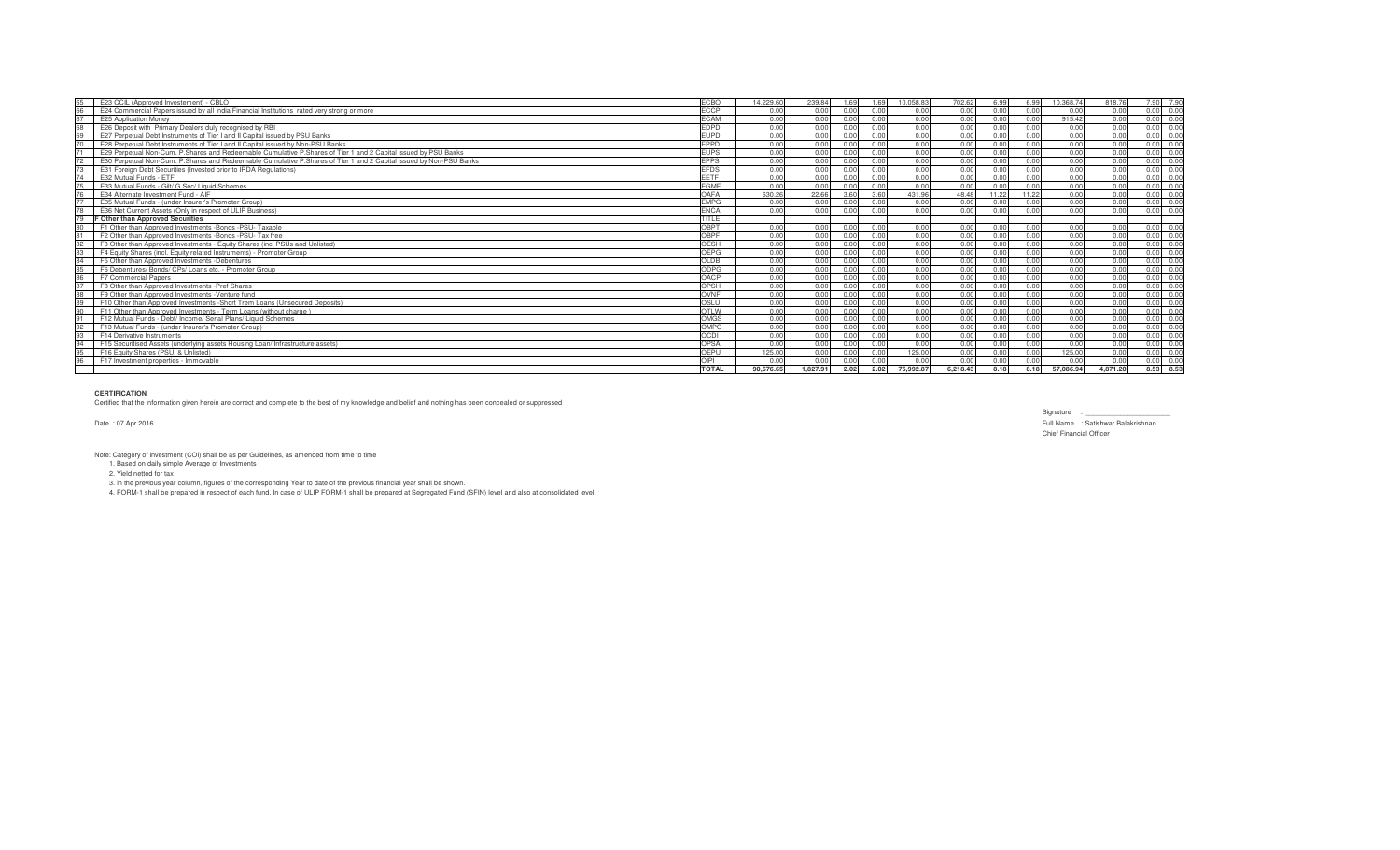| 65<br>E23 CCIL (Approved Investement) - CBLO                                                                       | <b>FCBO</b>  | 14.229.60 | 239.84<br>1.69   | 1.69 | 10.058.83 | 702.62   | 6.99 | 6.99  | 10.368.74 | 818.76   | 7.90 7.90 |      |
|--------------------------------------------------------------------------------------------------------------------|--------------|-----------|------------------|------|-----------|----------|------|-------|-----------|----------|-----------|------|
| 66<br>E24 Commercial Papers issued by all India Financial Institutions rated very strong or more                   | <b>ECCP</b>  | 0.00      | 0.00<br>0.00     | 0.00 | 0.00      | 0.00     | 0.00 | 0.00  | 0.00      | 0.00     | 0.00 0.00 |      |
| 67<br>E25 Application Money                                                                                        | <b>FCAM</b>  | 0.00      | 0.00<br>0.00     | 0.00 | 0.00      | 0.00     | 0.00 | 0.00  | 915.42    | 0.00     | 0.00 0.00 |      |
| E26 Deposit with Primary Dealers duly recognised by RBI                                                            | <b>FDPD</b>  | 0.00      | 0.00<br>0.00     | 0.00 | 0.00      | 0.00     | 0.00 | 0.00  | 0.00      | 0.00     | 0.00 0.00 |      |
| E27 Perpetual Debt Instruments of Tier Land II Capital issued by PSU Banks                                         | <b>FUPD</b>  | 0.00      | 0.00<br>0.00     | 0.00 | 0.00      | 0.00     | 0.00 | 0.00  | 0.00      | 0.00     | 0.00 0.00 |      |
| E28 Perpetual Debt Instruments of Tier I and II Capital issued by Non-PSU Banks                                    | <b>FPPD</b>  | 0.00      | 0.00<br>0.00     | 0.00 | 0.00      | 0.00     | 0.00 | 0.00  | 0.00      | 0.00     | 0.00 0.00 |      |
| E29 Perpetual Non-Cum, P.Shares and Redeemable Cumulative P.Shares of Tier 1 and 2 Capital issued by PSU Banks     | <b>FUPS</b>  | 0.00      | 0.00<br>0.00     | 0.00 | 0.00      | 0.00     | 0.00 | 0.00  | 0.00      | 0.00     | 0.00 0.00 |      |
| E30 Perpetual Non-Cum, P.Shares and Redeemable Cumulative P.Shares of Tier 1 and 2 Capital issued by Non-PSU Banks | <b>EPPS</b>  | 0.00      | 0.00<br>0.00     | 0.00 | 0.00      | 0.00     | 0.00 | 0.00  | 0.00      | 0.00     | 0.00      | 0.00 |
| E31 Foreign Debt Securities (Invested prior to IRDA Regulations)                                                   | <b>FFDS</b>  | 0.00      | 0.00<br>0.00     | 0.00 | 0.00      | n nr     | 0.00 | n nr  | 0.00      | 0.00     | 0.00      | 0.00 |
| E32 Mutual Funds - ETF                                                                                             | FFTF         | 0.00      | 0.00<br>0.00     | 0.00 | 0.00      | 0.00     | 0.00 | 0.00  | 0.00      | 0.00     | 0.00      | 0.00 |
| E33 Mutual Funds - Gilt/ G Sec/ Liquid Schemes                                                                     | <b>FGMF</b>  | 0.00      | 0.00<br>0.00     |      | 0.00      | n nr     | 0.00 | 0.00  | 0.00      | 0.00     | 0.00      | 0.01 |
| E34 Alternate Investment Fund - AIF                                                                                | OAFA         | 630.26    | 22.66<br>3.60    | 3.60 | 431.96    | 48.48    |      | 11.22 | 0.00      | 0.00     | n nr      |      |
| E35 Mutual Funds - (under Insurer's Promoter Group)                                                                | <b>EMPG</b>  | 0.00      | 0.00             |      | 0.00      | n nr     | 0.00 |       | 0.00      | 0.00     | n nr      | 0.01 |
| E36 Net Current Assets (Only in respect of ULIP Business)                                                          | <b>ENCA</b>  | 0.00      | 0.00<br>0.00     | 0.00 | 0.00      | n nn     | 0.00 | 0.00  | 0.00      | 0.00     | 0.00      | 0.0  |
| F Other than Approved Securities                                                                                   | TITLE        |           |                  |      |           |          |      |       |           |          |           |      |
| 80<br>F1 Other than Approved Investments -Bonds -PSU- Taxable                                                      | <b>OBPT</b>  | 0.00      | 0.00<br>0.00     | 0.00 | 0.00      | 0.00     | 0.00 | 0.00  | 0.00      | 0.00     | 0.00      | 0.00 |
| F2 Other than Approved Investments -Bonds -PSU- Tax free                                                           | OBPF         | 0.00      | 0.00<br>n nn     | 0.00 | 0.00      | 0.00     | 0.00 | n nr  | 0.00      | 0.00     | 0.00      | 0.00 |
| 82<br>F3 Other than Approved Investments - Equity Shares (incl PSUs and Unlisted)                                  | <b>OESH</b>  | 0.00      | 0.00<br>0.00     | 0.00 | 0.00      | 0.00     | 0.00 | 0.00  | 0.00      | 0.00     | 0.00 0.00 |      |
| 83<br>F4 Equity Shares (incl. Equity related Instruments) - Promoter Group                                         | OFPG         | 0.00      | 0.00<br>0.00     | 0.00 | 0.00      | 0.00     | 0.00 | 0.00  | 0.00      | 0.00     | 0.00 0.00 |      |
| 84<br>F5 Other than Approved Investments -Debentures                                                               | OLDB         | 0.00      | 0.00<br>0.00     | 0.00 | 0.00      | 0.00     | 0.00 | 0.00  | 0.00      | 0.00     | 0.00 0.00 |      |
| F6 Debentures/ Bonds/ CPs/ Loans etc. - Promoter Group                                                             | ODPG         | 0.00      | 0.00<br>0.00     | 0.00 | 0.00      | 0.00     | 0.00 | 0.00  | 0.00      | 0.00     | 0.00      | 0.00 |
| 86<br><b>F7 Commercial Papers</b>                                                                                  | OACP         | 0.00      | 0.00<br>0.00     | 0.00 | 0.00      | 0.00     | 0.00 | 0.00  | 0.00      | 0.00     | 0.00 0.00 |      |
| 87<br>F8 Other than Approved Investments - Pref Shares                                                             | OPSH         | 0.00      | 0.00<br>0.00     | 0.00 | 0.00      | 0.00     | 0.00 | 0.00  | 0.00      | 0.00     | 0.00 0.00 |      |
| 88<br>F9 Other than Approved Investments - Venture fund                                                            | OVNF         | 0.00      | 0.00<br>0.00     | 0.00 | 0.00      | 0.00     | 0.00 | 0.00  | 0.00      | 0.00     | 0.00 0.00 |      |
| F10 Other than Approved Investments -Short Trem Loans (Unsecured Deposits)<br>89                                   | OSLU         | 0.00      | 0.00<br>0.00     | 0.00 | 0.00      | 0.00     | 0.00 | 0.00  | 0.00      | 0.00     | 0.00      | 0.00 |
| F11 Other than Approved Investments - Term Loans (without charge                                                   | <b>OTLW</b>  | 0.00      | 0.00<br>0.00     | 0.00 | 0.00      | 0.00     | 0.00 | 0.00  | 0.00      | 0.00     | 0.00      | 0.00 |
| F12 Mutual Funds - Debt/ Income/ Serial Plans/ Liquid Schemes                                                      | OMGS         | 0.00      | 0.00<br>0.00     | 0.00 | 0.00      | 0.00     | 0.00 | 0.00  | 0.00      | 0.00     | 0.00      | 0.00 |
| 92<br>F13 Mutual Funds - (under Insurer's Promoter Group)                                                          | OMPG         | 0.00      | 0.00<br>0.00     |      | 0.00      | 0.00     | 0.00 | 0.00  | 0.00      | 0.00     | 0.00      | 0.0  |
| F14 Derivative Instruments                                                                                         | <b>OCDI</b>  | 0.00      | 0.00<br>0.00     |      | 0.00      | 0.00     | 0.00 | n nr  | 0.00      | 0.00     | n nr      | 0.00 |
| F15 Securitised Assets (underlying assets Housing Loan/ Infrastructure assets)                                     | OPSA         | 0.00      | 0.00<br>0.00     | 0.00 | 0.00      | 0.00     | 0.00 | 0.00  | 0.00      | 0.00     | 0.00      | 0.00 |
| F16 Equity Shares (PSU & Unlisted)                                                                                 | OFPU         | 125.00    | 0.00<br>0.00     | 0.00 | 125.00    | 0.00     | 0.00 | 0.00  | 125.00    | 0.00     | 0.00      | 0.00 |
| F17 Investment properties - Immovable                                                                              | OIPI         | 0.00      | 0.00<br>0.00     |      | 0.00      |          | 0.00 | 0.00  | 0.00      | 0.00     | 0.00      | 0.00 |
|                                                                                                                    | <b>TOTAL</b> | 90.676.65 | 2.02<br>1.827.91 | 2.02 | 75,992.87 | 6.218.43 | 8.18 | 8.18  | 57,086.9  | 4.871.20 | 8.53      | 8.53 |

# **CERTIFICATION**

Certified that the information given herein are correct and complete to the best of my knowledge and belief and nothing has been concealed or suppressed

Date : 07 Apr 2016

Signature : \_\_\_\_\_\_\_\_\_\_\_\_\_\_\_\_\_\_\_\_\_\_ Full Name : Satishwar Balakrishnan Chief Financial Officer

Note: Category of investment (COI) shall be as per Guidelines, as amended from time to time 1. Based on daily simple Average of Investments

2. Yield netted for tax

3. In the previous year column, figures of the corresponding Year to date of the previous financial year shall be shown.<br>4. FORM-1 shall be prepared in respect of each fund. In case of ULIP FORM-1 shall be prepared at Segr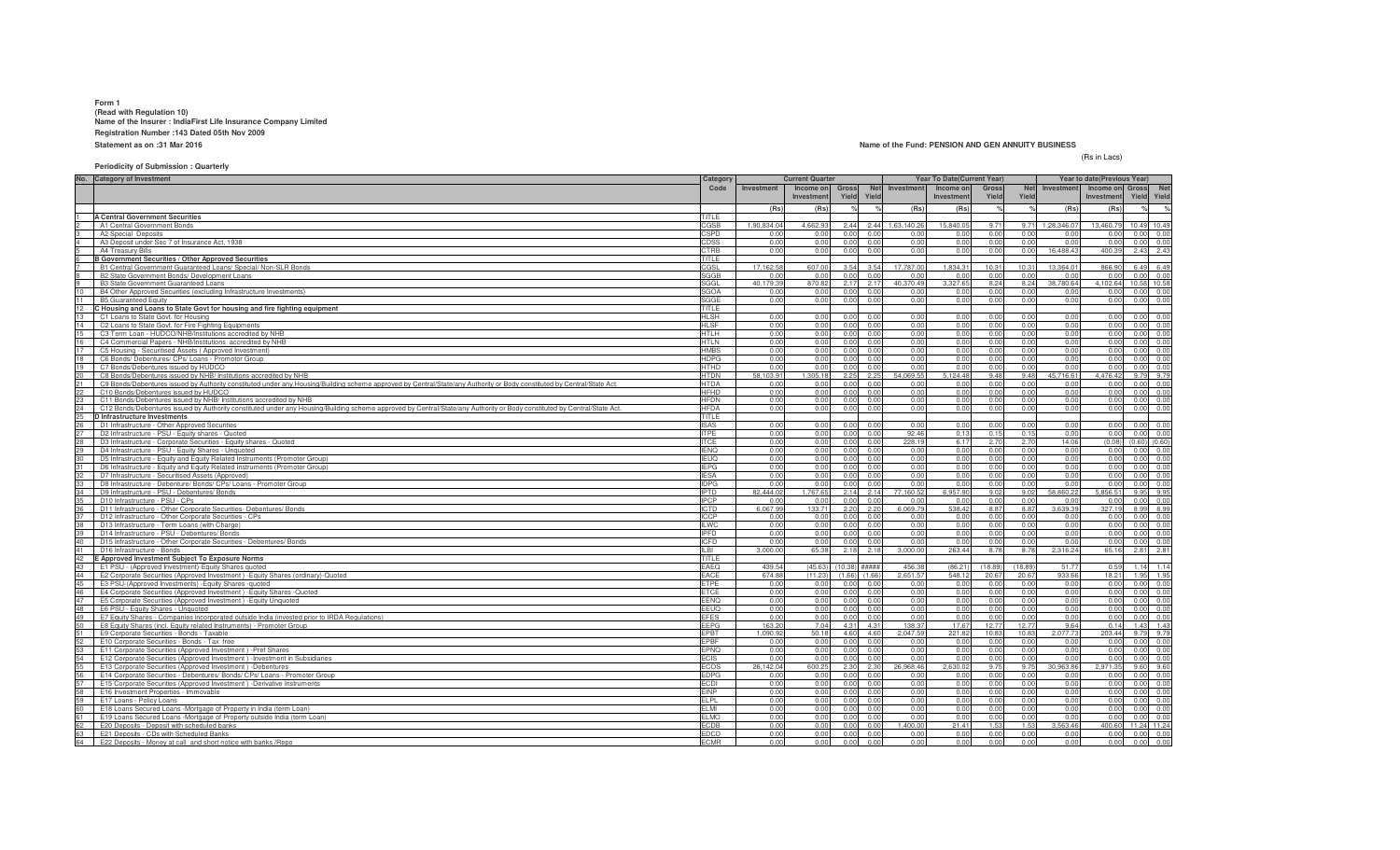#### **Form 1 (Read with Regulation 10) Name of the Insurer : IndiaFirst Life Insurance Company LimitedRegistration Number :143 Dated 05th Nov 2009Statement as on :31 Mar 2016**

### **Name of the Fund: PENSION AND GEN ANNUITY BUSINESS**

(Rs in Lacs)

### **Periodicity of Submission : Quarterly**

|    | No. Category of Investment                                                                                                                                               | Category                   |                   | <b>Current Quarter</b> |                |                     |                  | Year To Date(Current Year) |              |              |                   | Year to date(Previous Year) |              |                           |
|----|--------------------------------------------------------------------------------------------------------------------------------------------------------------------------|----------------------------|-------------------|------------------------|----------------|---------------------|------------------|----------------------------|--------------|--------------|-------------------|-----------------------------|--------------|---------------------------|
|    |                                                                                                                                                                          | Code                       | Investment        | Income on              |                | <b>Net</b><br>Gross | Investment       | Income on                  | Gross        | <b>Net</b>   | Investment        | Income on Gross             |              | Net                       |
|    |                                                                                                                                                                          |                            |                   | Investment             | Yield          | Yield               |                  | Investmen                  | Yield        | Yield        |                   | Investment                  | Yield        | Yield                     |
|    |                                                                                                                                                                          |                            | (Rs)              | (Rs)                   |                |                     | (Rs)             | (Rs)                       |              |              | (Rs)              | (Rs)                        |              | $\frac{1}{\sqrt{2}}$      |
|    | <b>A Central Government Securities</b>                                                                                                                                   | TITLE                      |                   |                        |                |                     |                  |                            |              |              |                   |                             |              |                           |
|    | A1 Central Government Bonds                                                                                                                                              | CGSB                       | 1.90.834.04       | 4.662.9                | 2.44           | 2.44                | 1.63.140.2       | 15,840.0                   | 97           | 9.71         | 1.28.346.0        | 13,460.7                    |              | 10.49 10.49               |
|    | A2 Special Deposits                                                                                                                                                      | CSPD                       | 0.01              | 0 <sub>0</sub>         | 0.00           | 0.0                 | 0.0              | 0.0                        | 0.00         | 0.00         | 0.01              |                             | 0.00         | 0.00                      |
|    | A3 Deposit under Sec 7 of Insurance Act, 1938                                                                                                                            | CDSS                       | 0.00              | 0.00                   | 0.00           | 0.0(                | 0.0              | 0.0                        | 0.00         | 0.00         | 0.0               | 0.00                        | 0.00         | 0.00                      |
|    | A4 Treasury Bills                                                                                                                                                        | CTRB                       | 0.00              | 0.00                   | 0.00           | 0.00                | 0.00             | 0.00                       | 0.00         | 0.00         | 16,488.4          | 400.3                       | 2.43         | 2.43                      |
|    | <b>B Government Securities / Other Approved Securities</b>                                                                                                               | <b>TITLE</b><br>CGSL       | 17.162.58         | 607.00                 | 3.54           | 3.54                | 17.787.0         | 1,834.3                    | 10.31        | 10.31        | 13.364.01         | 866.90                      |              | 6.49 6.49                 |
|    | B1 Central Government Guaranteed Loans/ Special/ Non-SLR Bonds<br>B2 State Government Bonds/ Development Loans                                                           | SGGB                       | 0 <sub>0</sub>    | 0.00                   | 0.00           | 0.00                | 0.0              | 0.0(                       | 0.00         | 0.00         | 0.00              | 0.00                        |              | $0.00 \ 0.00$             |
|    | B3 State Government Guaranteed Loans                                                                                                                                     | SGGL                       | 40.179.3          | 870.82                 | 2.17           | 2.17                | 40.370.4         | 3,327.6                    | 8.24         | 8.24         | 38,780.64         | 4.102.64                    | 10.58 10.58  |                           |
|    | B4 Other Approved Securities (excluding Infrastructure Investments)                                                                                                      | <b>SGOA</b>                | 0.00              | 0.00                   | 0.00           | 0.00                | 0.0              | 0.0(                       | 0.00         | 0.00         | 0.00              | 0.00                        |              | $0.00 \ 0.00$             |
|    | <b>B5 Guaranteed Equity</b>                                                                                                                                              | SGGE                       | 0.00              | 0.00                   | 0.00           | 0.0(                | 0.0              | 0.00                       | 0.00         | 0.00         | 0.00              | 0.00                        |              | 0.00 0.00                 |
| 12 | Housing and Loans to State Govt for housing and fire fighting equipment                                                                                                  | TITLE                      |                   |                        |                |                     |                  |                            |              |              |                   |                             |              |                           |
|    | C1 Loans to State Govt. for Housing                                                                                                                                      | <b>HLSH</b>                | 0.00              | 0.00                   |                | 0.00                | 0.00             | 0.00                       | 0.01         | 0.00         | 0.00              | 0.00                        | 0.00         | 0.00                      |
|    | C2 Loans to State Govt. for Fire Fighting Equipments                                                                                                                     | <b>HLSF</b>                | 0.00              | 0.00                   |                | 0.0(                | 0.0              | 0.0(                       | 0.0          | 0.00         | 0.00              | 0.00                        | 0.00         | 0.00                      |
|    | C3 Term Loan - HUDCO/NHB/Institutions accredited by NHB                                                                                                                  | <b>HTLH</b>                | 0.00              | 0.00                   | 0.00           | 0.00                | 0.0              | 0.00                       | 0.00         | 0.00         | 0.00              | 0.00                        | 0.00         | 0.00                      |
|    | C4 Commercial Papers - NHB/Institutions accredited by NHB                                                                                                                | HTLN                       | 0.00              | 0.00                   | 0.00           | 0.00                | 0.0              | 0.0                        | 0.00         | 0.00         | 0.00              | 0.00                        | 0.00         | 0.00                      |
|    | C5 Housing - Securitised Assets (Approved Investment)                                                                                                                    | <b>IMBS</b>                | 0.00              | 0.00                   | 0.00           | 0.00                | 0.00             | 0.00                       | 0.00         | 0.00         | 0.00              | 0.00                        | 0.00         | 0.00                      |
| 18 | C6 Bonds/ Debentures/ CPs/ Loans - Promotor Group                                                                                                                        | <b>HDPG</b>                | 0.00              | 0.00                   | 0.00           | 0.00                | 0.00             | 0.00                       | 0.00         | 0.00         | 0.00              | 0.00                        | 0.00         | 0.00                      |
|    | C7 Bonds/Debentures issued by HUDCO<br>C8 Bonds/Debentures issued by NHB/ Institutions accredited by NHB                                                                 | <b>HTHD</b><br><b>HTDN</b> | 0.00<br>58.103.91 | 0.00<br>1.305.18       | 0.00<br>2.25   | 0.00<br>2.25        | 0.00<br>54.069.5 | 0.00<br>5.124.48           | 0.00<br>9.48 | 0.00<br>9.48 | 0.00<br>45.716.61 | 0.00<br>4.476.42            |              | 0.00 0.00<br>9.79 9.79    |
|    | C9 Bonds/Debentures issued by Authority constituted under any Housing/Building scheme approved by Central/State/any Authority or Body constituted by Central/State Act.  | <b>HTDA</b>                | 0.00              | 0.00                   | 0.00           | 0.0(                | 0.0              | 0.0                        | 0.00         | 0.00         | 0.00              | 0.00                        |              | 0.00 0.00                 |
|    | C10 Bonds/Debentures issued by HUDCO                                                                                                                                     | HFHD                       | 0.00              | 0.00                   | 0.00           | 0.00                | 0.0              | 0.0(                       | 0.00         | 0.00         | 0.00              | 0.00                        |              | 0.00 0.00                 |
|    | C11 Bonds/Debentures issued by NHB/ Institutions accredited by NHB                                                                                                       | <b>HFDN</b>                | 0.00              | 0.00                   | 0.00           | 0.00                | 0.0              | 0.00                       | 0.00         | 0.00         | 0.00              | 0.00                        | 0.00         | 0.00                      |
| 24 | C12 Bonds/Debentures issued by Authority constituted under any Housing/Building scheme approved by Central/State/any Authority or Body constituted by Central/State Act. | <b>HFDA</b>                | 0.00              | 0.00                   | 0.00           | 0.00                | 0.00             | 0.00                       | 0.00         | 0.00         | 0.00              | 0.00                        | 0.00         | 0.00                      |
|    | D Infrastructure Investments                                                                                                                                             | TITLE                      |                   |                        |                |                     |                  |                            |              |              |                   |                             |              |                           |
|    | D1 Infrastructure - Other Approved Securities                                                                                                                            | <b>ISAS</b>                | 0.00              | 0.00                   |                | 0.0                 | 0.01             | 0.00                       | 0.0          | 0.00         | 0.00              | 0.00                        | 0.00         | 0.00                      |
| 27 | D2 Infrastructure - PSU - Equity shares - Quoted                                                                                                                         | <b>ITPF</b>                | 0.00              | 0.00                   | 0.00           | 0.00                | 92.46            | 0.13                       | 0.15         | 0.15         | 0.00              | 0.00                        | 0.00         | 0.00                      |
|    | D3 Infrastructure - Corporate Securities - Equity shares - Quoted                                                                                                        | <b>ITCE</b>                | 0.00              | 0.00                   | 0.00           | 0.00                | 228.1            | 6.17                       | 2.70         | 2.70         | 14.06             | (0.08)                      | (0.60)       | (0.60)                    |
| 29 | D4 Infrastructure - PSU - Equity Shares - Unquoted                                                                                                                       | <b>IFNO</b>                | 0.00              | 0.00                   | 0.00           | 0.00                | 0.0              | 0.00                       | 0.00         | 0.00         | 0.00              | n nn                        | 0.00         | 0.00                      |
| 30 | D5 Infrastructure - Equity and Equity Related Instruments (Promoter Group)                                                                                               | <b>IEUQ</b>                | 0.00              | 0.00                   | 0.00           | 0.00                | 0.00             | 0.00                       | 0.00         | 0.00         | 0.00              | 0.00                        | 0.00         | 0.00                      |
| 31 | D6 Infrastructure - Equity and Equity Related Instruments (Promoter Group)                                                                                               | <b>IEPG</b>                | 0.00              | 0.00                   | 0.00           | 0.00                | 0.00             | 0.00                       | 0.00         | 0.00         | 0.00              | 0.00                        |              | 0.00 0.00                 |
| 33 | D7 Infrastructure - Securitised Assets (Approved)                                                                                                                        | <b>IFSA</b>                | 0.00<br>0.00      | 0.00<br>0.00           | 0.00<br>0.00   | 0.00<br>0.0(        | 0.01<br>0.0      | 0.00<br>0.0                | 0.00<br>0.00 | 0.00<br>0.00 | 0.00<br>0.00      | 0.00<br>0.00                | 0.00         | $0.00 \quad 0.00$<br>0.00 |
| 34 | D8 Infrastructure - Debenture/ Bonds/ CPs/ Loans - Promoter Group<br>D9 Infrastructure - PSU - Debentures/ Bonds                                                         | <b>IDPG</b><br><b>IPTD</b> | 82,444.02         | 1,767.65               | 2.14           | 2.14                | 77,160.5         | 6,957.9                    | 9.02         | 9.02         | 58,860.22         | 5,856.51                    | 9.95         | 9.95                      |
|    | D10 Infrastructure - PSU - CPs                                                                                                                                           | <b>IPCP</b>                | n n               | 0.0                    | 0.00           | 0.0(                | 0.0              | 0.0(                       | 0.00         | 0.00         | 0.0               | 0.00                        | 0.00         | 0.00                      |
|    | D11 Infrastructure - Other Corporate Securities- Debentures/ Bonds                                                                                                       | ICTD                       | 6,067.9           | 133.71                 | 2.20           | 2.20                | 6,069.7          | 538.42                     | 8.87         | 8.87         | 3,639.39          | 327.19                      | 8.99         | 8.99                      |
|    | D12 Infrastructure - Other Corporate Securities - CPs                                                                                                                    | <b>ICCP</b>                | 0.00              | 0.00                   | 0.00           | 0.00                | 0.00             | 0.00                       | 0.00         | 0.00         | 0.00              | 0.00                        | 0.00         | 0.00                      |
|    | D13 Infrastructure - Term Loans (with Charge                                                                                                                             | <b>ILWC</b>                | 0.00              | 0.00                   | 0.0            | 0.00                | 0.01             | 0.00                       | 0.00         | 0.00         | 0.00              | 0.00                        | 0.00         | 0.00                      |
| 39 | D14 Infrastructure - PSU - Debentures/ Bonds                                                                                                                             | <b>IPFD</b>                | 0.00              | 0.00                   | 0.00           | 0.00                | 0.00             | 0.00                       | 0.00         | 0.00         | 0.00              | 0.00                        |              | 0.00 0.00                 |
| 40 | D15 Infrastructure - Other Corporate Securities - Debentures/ Bonds                                                                                                      | <b>ICFD</b>                | 0.00              | 0.00                   | 0.00           | 0.00                | 0.0              | 0.0                        | 0.00         | 0.00         | 0.00              | 0.00                        | 0.00         | 0.00                      |
| 41 | D16 Infrastructure - Bonds                                                                                                                                               | II BI                      | 3.000.0           | 65.38                  | 2.18           | 2.18                | 3.000.0          | 263.44                     | 8.78         | 8.78         | 2,316.24          | 65.16                       |              | 2.81 2.81                 |
| 42 | E Approved Investment Subject To Exposure Norms                                                                                                                          | TITLE                      |                   |                        |                |                     |                  |                            |              |              |                   |                             |              |                           |
| 43 | E1 PSU - (Approved Investment)-Equity Shares quoted                                                                                                                      | EAEQ                       | 439.54            | (45.63)                | (10.38)        | #####               | 456.3            | (86.21)                    | (18.89)      | (18.89)      | 51.77             | 0.59                        |              | $1.14$ 1.14               |
| 44 | E2 Corporate Securities (Approved Investment) - Equity Shares (ordinary)-Quoted                                                                                          | EACE                       | 674.88            | (11.23)                | (1.66)         | (1.66)              | 2,651.5          | 548.1                      | 20.6         | 20.67        | 933.66            | 18.21                       |              | 1.95 1.95                 |
| 45 | E3 PSU-(Approved Investments) - Equity Shares - quoted                                                                                                                   | ETPE                       | 0.00              | 0.00                   | 0.00           | 0.0                 | 0.0              | 0.0(<br>0.0(               | 0.00         | 0.00         | 0.00<br>0.00      | 0.00<br>0.00                | 0.00         | 0.00<br>0.00              |
| 47 | E4 Corporate Securities (Approved Investment) - Equity Shares - Quoted                                                                                                   | <b>ETCE</b><br>EENQ        | 0.00<br>0.00      | 0.00<br>0.00           | 0.00<br>0.00   | 0.0(<br>0.0(        | 0.0<br>0.0       | 0.00                       | 0.00<br>0.00 | 0.00<br>0.00 | 0.00              | 0.00                        | 0.00<br>0.00 |                           |
| 48 | E5 Corporate Securities (Approved Investment) - Equity Unquoted<br>E6 PSU - Equity Shares - Unquoted                                                                     | EEUQ                       | 0.00              | 0.00                   | 0.00           | 0.00                | 0.00             | 0.00                       | 0.00         | 0.00         | 0.00              | 0.00                        |              | 0.00<br>0.00 0.00         |
| 49 | E7 Equity Shares - Companies incorporated outside India (invested prior to IRDA Regulations)                                                                             | <b>EFES</b>                | 0.00              | 0.00                   | 0.00           | 0.00                | 0.00             | 0.00                       | 0.00         | 0.00         | 0.00              | 0.00                        |              | 0.00 0.00                 |
|    | E8 Equity Shares (incl. Equity related Instruments) - Promoter Group                                                                                                     | <b>FFPG</b>                | 163.2             | 7.04                   | 4.31           | 4.31                | 138.3            | 17.6                       | 12.77        | 12.77        | 9.64              | 0.14                        | 1.43         | 1.43                      |
| 51 | E9 Corporate Securities - Bonds - Taxable                                                                                                                                | EPBT                       | 1.090.92          | 50.18                  | 4.60           | 4.60                | 2,047.5          | 221.82                     | 10.83        | 10.83        | 2,077.73          | 203.44                      |              | 9.79 9.79                 |
| 52 | E10 Corporate Securities - Bonds - Tax free                                                                                                                              | PBF                        | 0.00              | 0.00                   | 0.00           | 0.00                | 0.0              | 0.0(                       | 0.00         | 0.00         | 0.00              | 0.00                        | 0.00         | 0.00                      |
| 53 | E11 Corporate Securities (Approved Investment) - Pref Shares                                                                                                             | EPNQ                       | 0.00              | 0.00                   | 0.00           | 0.00                | 0.0              | 0.00                       | 0.00         | 0.00         | 0.00              | 0.00                        | 0.00         | 0.00                      |
| 54 | E12 Corporate Securities (Approved Investment) - Investment in Subsidiaries                                                                                              | ECIS                       | 0.00              | 0.00                   | 0.00           | 0.00                | 0.0              | 0.00                       | 0.00         | 0.00         | 0.00              | 0.00                        | 0.00         | 0.00                      |
|    | E13 Corporate Securities (Approved Investment) -Debentures                                                                                                               | <b>ECOS</b>                | 26.142.04         | 600.25                 | 2.30           | 2.30                | 26.968.46        | 2.630.0                    | 9.75         | 9.75         | 30.963.86         | 2.971.35                    |              | 9.60 9.60                 |
|    | E14 Corporate Securities - Debentures/ Bonds/ CPs/ Loans - Promoter Group                                                                                                | <b>EDPG</b>                | 0.00              | 0.00                   | 0.00           | 0.0                 | 0.0              | 0.0(                       | 0.00         | 0.00         | 0.00              | 0.00                        |              | $0.00 \ 0.00$             |
|    | E15 Corporate Securities (Approved Investment) -Derivative Instruments                                                                                                   | ECDI                       | 0.00              | 0.00                   | 0.00           | 0.0(                | 0.0              | 0.0                        | 0.00         | 0.00         | 0.00              | 0.00                        | 0.00         | 0.00                      |
|    | E16 Investment Properties - Immovable                                                                                                                                    | <b>FINP</b>                | 0.00              | 0.00                   | 0.00           | 0.00                | 0.0              | 0.0(                       | 0.00         | 0.00         | 0.00              | 0.00                        | 0.00         | 0.00                      |
|    | E17 Loans - Policy Loans                                                                                                                                                 | ELPL                       | 0.00              | 0.00                   | 0.00           | 0.00                | 0.0              | 0.00                       | 0.00         | 0.00         | 0.00              | 0.00                        | 0.00         | 0.00                      |
| 60 | E18 Loans Secured Loans -Mortgage of Property in India (term Loan)<br>E19 Loans Secured Loans -Mortgage of Property outside India (term Loan)                            | ELMI<br><b>FLMO</b>        | 0.00<br>0.00      | 0.00<br>0.00           | 0.00<br>n nr   | 0.00<br>0.00        | 0.00<br>0.00     | 0.00<br>0.00               | 0.00<br>0.00 | 0.00<br>0.00 | 0.00<br>0.00      | 0.00<br>0.00                |              | 0.00 0.00<br>0.00 0.00    |
|    | E20 Deposits - Deposit with scheduled banks                                                                                                                              | <b>ECDB</b>                | 0.00              | 0.00                   | 0 <sup>0</sup> | 0.0(                | 1.400.0          | 21.41                      |              | 1.53         | 3.563.46          | 400.60                      | 11.24 11.24  |                           |
|    | E21 Deposits - CDs with Scheduled Banks                                                                                                                                  | EDCD                       | 0.00              | 0.00                   | 0.00           | 0.00                | 0.0              | 0.00                       | 0.00         | 0.00         | 0.00              | 0.00                        |              | 0.00 0.00                 |
| 64 | E22 Deposits - Money at call and short notice with banks /Repo                                                                                                           | <b>FCMR</b>                | 0.00              | 0.00                   | 0.00           | 0.00                | 0.00             | 0.00                       | 0.00         | 0.00         | 0.00              | 0.00                        | 0.00         | 0.00                      |
|    |                                                                                                                                                                          |                            |                   |                        |                |                     |                  |                            |              |              |                   |                             |              |                           |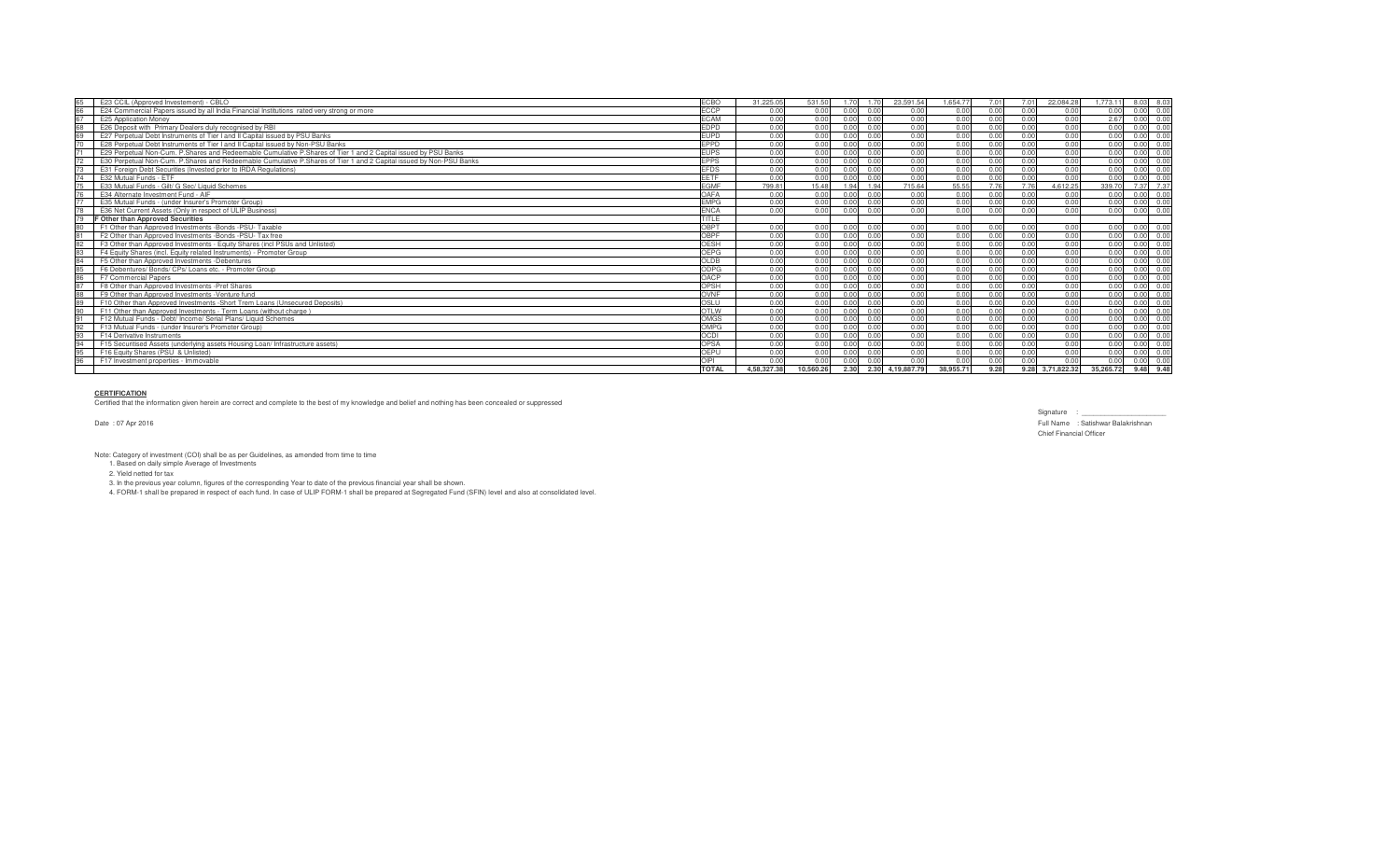| 65 | E23 CCIL (Approved Investement) - CBLO                                                                             | <b>ECBO</b>  | 31,225.05   | 531.50    |      |                | 23.591.54   | 1.654.77 |      | 7.01 | 22.084.28   | 1.773.11  | 8.03<br>8 03             |
|----|--------------------------------------------------------------------------------------------------------------------|--------------|-------------|-----------|------|----------------|-------------|----------|------|------|-------------|-----------|--------------------------|
| 66 | E24 Commercial Papers issued by all India Financial Institutions rated very strong or more                         | <b>ECCP</b>  | 0.00        | 0.00      | n nn |                | 0.00        | 0.00     | 0.00 | 0.00 | 0.00        | n nn      | 0.00<br>0.00             |
| 67 | E25 Application Money                                                                                              | <b>ECAM</b>  | 0.00        | 0.00      |      | 0.00           | 0.00        | 0.00     | 0.00 | 0.00 | 0.00        | 2.67      | 0.00<br>0.00             |
|    | E26 Deposit with Primary Dealers duly recognised by RBI                                                            | <b>EDPD</b>  | 0.00        | 0.00      |      |                | 0.00        | 0.00     |      | n nn | 0.00        |           | 0.00                     |
| 69 | E27 Perpetual Debt Instruments of Tier I and II Capital issued by PSU Banks                                        | <b>EUPD</b>  | 0.00        | 0.00      |      |                | 0.00        | 0.00     | 0.00 | 0.00 | 0.00        |           | 0.00                     |
|    | E28 Perpetual Debt Instruments of Tier I and II Capital issued by Non-PSU Banks                                    | <b>EPPD</b>  | 0.00        | 0.00      |      |                | 0.00        | 0.00     |      | 0.00 | 0.00        |           | 0.00                     |
|    | E29 Perpetual Non-Cum. P.Shares and Redeemable Cumulative P.Shares of Tier 1 and 2 Capital issued by PSU Banks     | <b>EUPS</b>  |             | 0.00      |      |                | 0.00        | 0.00     | 0.00 | 0.00 | 0.00        |           | 0.00                     |
|    | E30 Perpetual Non-Cum, P.Shares and Redeemable Cumulative P.Shares of Tier 1 and 2 Capital issued by Non-PSU Banks | <b>FPPS</b>  | 0.00        | 0.00      |      |                | 0.00        | 0.00     |      |      | 0.00        |           | 0.00                     |
|    | E31 Foreign Debt Securities (Invested prior to IRDA Regulations)                                                   | <b>FFDS</b>  | 0.00        | 0.00      |      |                | 0.00        | 0.00     | 0.00 | 0.00 | 0.00        |           | 0.00                     |
| 74 | E32 Mutual Funds - ETF                                                                                             | FFTF         | 0.00        | 0.00      |      |                | 0.00        | 0.00     |      | n nn | 0.00        |           | 0.00                     |
|    | E33 Mutual Funds - Gilt/ G Sec/ Liquid Schemes                                                                     | <b>FGMF</b>  | 799.81      | 15.48     |      | 1.94           | 715.64      | 55.55    |      |      | 4,612.25    | 339.70    | 7.37<br>7.37             |
|    | E34 Alternate Investment Fund - AIF                                                                                | OAFA         | 0.00        | 0.00      |      |                | 0.00        | 0.00     |      | n nr | 0.00        |           | 0.00<br>n ni             |
|    | E35 Mutual Funds - (under Insurer's Promoter Group)                                                                | <b>FMPG</b>  | 0.00        | 0.00      |      | 0.00           | 0.00        | 0.00     | 0.00 | 0.00 | 0.00        | n nn      | 0.00                     |
|    | E36 Net Current Assets (Only in respect of ULIP Business)                                                          | <b>ENCA</b>  | 0.00        | 0.00      | 0.00 | 0.00           | 0.00        | 0.00     | 0.00 | 0.00 | 0.00        | 0.00      | 0.00<br>0.00             |
|    | <b>F Other than Approved Securities</b>                                                                            | <b>TITLE</b> |             |           |      |                |             |          |      |      |             |           |                          |
| 80 | F1 Other than Approved Investments -Bonds -PSU- Taxable                                                            | OBPT         | 0.00        | 0.00      | 0.00 | 00             | 0.00        | 0.00     | 0.00 | 0.00 | 0.00        | 0.00      | 0.00<br>0.00             |
| 81 | F2 Other than Approved Investments - Bonds - PSU- Tax free                                                         | OBPF         | 0.00        | 0.00      | 0.00 | 0.00           | 0.00        | 0.00     | 0.00 | 0.00 | 0.00        | 0.00      | 0.00<br>0.00             |
| 82 | F3 Other than Approved Investments - Equity Shares (incl PSUs and Unlisted)                                        | OESH         | 0.00        | 0.00      | 0.00 | 0.00           | 0.00        | 0.00     | 0.00 | 0.00 | 0.00        | 0.00      | 0.00<br>0.00             |
| 83 | F4 Equity Shares (incl. Equity related Instruments) - Promoter Group                                               | OFPG         | 0.00        | 0.00      | 0.00 | 0.00           | 0.00        | 0.00     | 0.00 | 0.00 | 0.00        | 0.00      | 0.00<br>0.00             |
| 84 | F5 Other than Approved Investments -Debentures                                                                     | OLDB         | 0.00        | 0.00      | 0.00 | 0.00           | 0.00        | 0.00     | 0.00 | 0.00 | 0.00        | 0.00      | 0.00<br>0.00             |
| 85 | F6 Debentures/ Bonds/ CPs/ Loans etc. - Promoter Group                                                             | ODPG         | 0.00        | 0.00      | 0.00 | 0.00           | 0.00        | 0.00     | 0.00 | 0.00 | 0.00        | 0.00      | 0.00<br>0.00             |
| 86 | F7 Commercial Papers                                                                                               | OACP         | 0.00        | 0.00      | 0.00 | 0.00           | 0.00        | 0.00     | 0.00 | 0.00 | 0.00        | 0.00      | 0.00<br>0.00             |
| 87 | F8 Other than Approved Investments - Pref Shares                                                                   | OPSH         | 0.00        | 0.00      | 0.00 | 0.00           | 0.00        | 0.00     | 0.00 | 0.00 | 0.00        | 0.00      | 0.00<br>0.00             |
| 88 | F9 Other than Approved Investments - Venture fund                                                                  | OVNF         | 0.00        | 0.00      | 0.00 | 000            | 0.00        | 0.00     | 0.00 | 0.00 | 0.00        | 0.00      | 0.00<br>0.0 <sup>o</sup> |
| 89 | F10 Other than Approved Investments - Short Trem Loans (Unsecured Deposits)                                        | OSLU         | 0.00        | 0.00      | 0.00 | 0.00           | 0.00        | 0.00     | 0.00 | 0.00 | 0.00        | 0.00      | 0.00<br>0.00             |
|    | F11 Other than Approved Investments - Term Loans (without charge)                                                  | <b>OTLW</b>  | 0.00        | 0.00      | 0.00 | 0.00           | 0.00        | 0.00     | 0.00 | 0.00 | 0.00        | 0.00      | 0.00<br>0.00             |
|    | F12 Mutual Funds - Debt/ Income/ Serial Plans/ Liquid Schemes                                                      | OMGS         | 0.00        | 0.00      |      |                | 0.00        | 0.00     | 0.00 | 0.00 | 0.00        |           | 0.00                     |
| 92 | F13 Mutual Funds - (under Insurer's Promoter Group)                                                                | OMPG         | 0.00        | 0.00      |      |                | 0.00        | 0.00     | 0.00 | 0.00 | 0.00        | 0.00      | 0.00                     |
| 93 | F14 Derivative Instruments                                                                                         | <b>OCDI</b>  | 0.00        | 0.00      |      |                | 0.00        | 0.00     |      | 0.00 | 0.00        | 0.00      | 0.00                     |
|    | F15 Securitised Assets (underlying assets Housing Loan/ Infrastructure assets)                                     | <b>OPSA</b>  |             | 0.00      |      | 0 <sub>0</sub> | 0.00        | 0.00     | 0.00 | 0.00 | 0.00        |           | 0.00<br>n nr             |
|    | F16 Equity Shares (PSU & Unlisted)                                                                                 | OEPL         | 0.00        | 0.00      |      |                | 0.00        | 0.00     |      | n nr | 0.00        |           | 0.00                     |
| 96 | F17 Investment properties - Immovable                                                                              | OIPI         |             | 0.00      |      |                | 0.00        | 0.00     |      | n nn | 0.00        |           | 0.00                     |
|    |                                                                                                                    | <b>TOTAL</b> | 4.58.327.38 | 10.560.26 | 2.30 | 2.30           | 4.19.887.79 | 38.955.7 | 9.28 | 9.28 | 3,71,822.32 | 35,265.72 | 9.48<br>9.48             |

## **CERTIFICATION**

Certified that the information given herein are correct and complete to the best of my knowledge and belief and nothing has been concealed or suppressed

Date : 07 Apr 2016

Signature : \_\_\_\_\_\_\_\_\_\_\_\_\_\_\_\_\_\_\_\_\_\_ Full Name : Satishwar Balakrishnan Chief Financial Officer

Note: Category of investment (COI) shall be as per Guidelines, as amended from time to time 1. Based on daily simple Average of Investments

2. Yield netted for tax

3. In the previous year column, figures of the corresponding Year to date of the previous financial year shall be shown.<br>4. FORM-1 shall be prepared in respect of each fund. In case of ULIP FORM-1 shall be prepared at Segr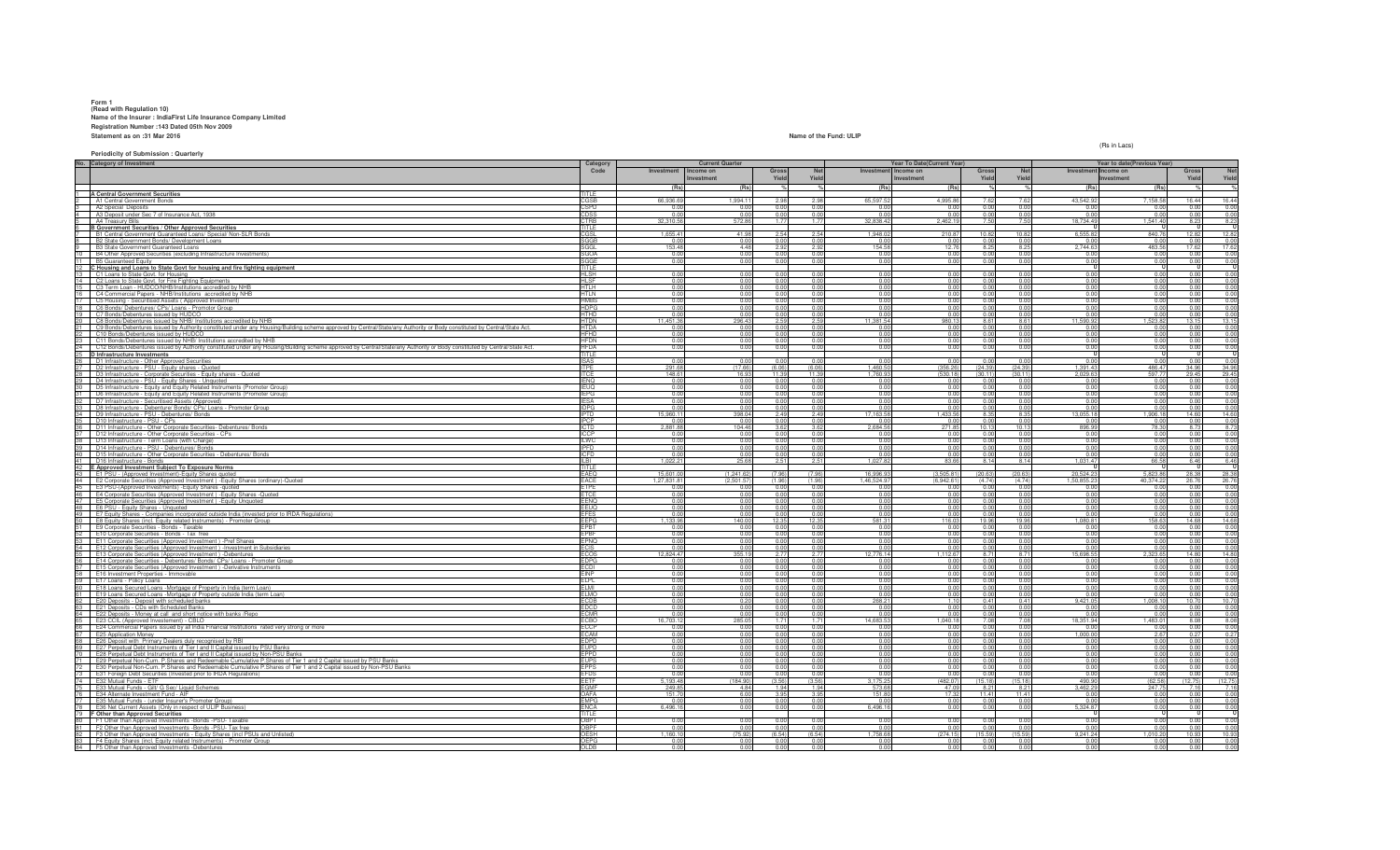# **Form 1 (Read with Regulation 10) Name of the Insurer : IndiaFirst Life Insurance Company Limited Registration Number :143 Dated 05th Nov 2009 Statement as on :31 Mar 2016Name of the Fund: ULIP**

(Rs in Lacs)

| No. Category of Investment |                                                                                                                                                                                                               |                            |                      | <b>Current Quarter</b> |                             |                  | Year To Date(Current Year) |                        |                 |                     | Year to date(Previous Year) |            |                     |                        |
|----------------------------|---------------------------------------------------------------------------------------------------------------------------------------------------------------------------------------------------------------|----------------------------|----------------------|------------------------|-----------------------------|------------------|----------------------------|------------------------|-----------------|---------------------|-----------------------------|------------|---------------------|------------------------|
|                            |                                                                                                                                                                                                               |                            | Investment Income on |                        | Gross                       | <b>Net</b>       | Investment Income on       |                        | Gross           | <b>Net</b>          | Investment Income on        |            | Gross               | Net                    |
|                            |                                                                                                                                                                                                               |                            |                      | Investment             | Yield                       | Yield            | Investment                 |                        | Yield           | Yield               |                             | Investment | Yield               | Yield                  |
|                            |                                                                                                                                                                                                               |                            | (Rs)                 | (Rs)                   |                             |                  | (Rs)                       | (Rs)                   |                 |                     | (Rs                         | (Rs)       |                     |                        |
|                            | <b>A Central Government Securities</b>                                                                                                                                                                        | TITLE                      |                      |                        |                             |                  |                            |                        |                 |                     |                             |            |                     |                        |
|                            | A1 Central Government Bonds                                                                                                                                                                                   | CGSB                       | 66,936.69            | 1.994.11               | 2.98                        | 2.98             | 65,597.52                  | 4.995.8                |                 | 7.62                | 43,542.9                    | 7,158.58   | 16.44               | 16.44                  |
|                            | A2 Special Deposits                                                                                                                                                                                           | <b>SPD</b>                 |                      | 0.01                   |                             | 0.00             | 0.01                       | 0.0                    | 0.0(            | 0.00                | 0.0                         |            | 0.00                | 0.00                   |
|                            | A3 Deposit under Sec 7 of Insurance Act, 1938                                                                                                                                                                 | CDSS                       | 0.00                 | 0.00                   | 0.00                        | 0.00             | 0.00                       | 0.00                   | 0.00            | 0.00                | 0.0                         | 0.00       | 0.00                | 0.00                   |
|                            | A4 Treasury Bills                                                                                                                                                                                             | CTRB                       | 32,310.56            | 572.86                 | 1.77                        | 1.77             | 32,838.42                  | 2,462.19               | 7.50            | 7.50                | 18,734.49                   | 1,541.40   | 8.23                | 8.23                   |
|                            | B Government Securities / Other Approved Securities<br>B1 Central Government Guaranteed Loans/ Special/ Non-SLR Bonds                                                                                         |                            | 1.655.41             | 41.98                  | 2.54                        | 2.54             | 1.948.02                   | 210.87                 | 10.82           | 10.82               | 6,555.8                     | 840.76     | 12.82               | 12.82                  |
|                            |                                                                                                                                                                                                               |                            |                      |                        |                             |                  |                            |                        |                 |                     |                             |            |                     |                        |
|                            | B2 State Government Bonds/ Development Loans                                                                                                                                                                  | SGGE                       | 0.0                  | 0.00                   | 0.01                        | 0.00             | 0.01                       | 0.0                    |                 | 0.00                | 0.0                         |            | 0.00                | 0.00                   |
|                            | B3 State Government Guaranteed Loans                                                                                                                                                                          | 3GGL                       | 153.48               | 4.48<br>0.00           | 2.92<br>0.00                | 2.92<br>0.00     | 154.58                     | 12.76                  | 8.2<br>0.0(     | 8.25                | 2,744.63                    | 483.56     | 17.62               | 17.62                  |
|                            | 10 B4 Other Approved Securities (excluding Infrastructure Investments)<br>11 B5 Guaranteed Equity                                                                                                             | SGOA                       | 0.00                 |                        |                             | 0.00             | 0.00                       | 0.00                   |                 | 0.00                | 0.0                         | 0.00       | 0.00                | 0.00                   |
|                            |                                                                                                                                                                                                               | SGGE                       | 0.00                 | 0.00                   | 0.00                        |                  | 0.00                       | 0.00                   | 0.00            | 0.00                | 0.00                        | 0.00       | 0.00                | 0.00                   |
|                            | 12 C Housing and Loans to State Govt for housing and fire fighting equipment<br>13 C1 Loans to State Govt. for Housing                                                                                        | HI SH                      | 0.00                 | 0.00                   | 0.00                        | 0.00             | 0.00                       | 0.00                   | 0.0(            | 0.00                | 0.00                        | 0.00       | 0.00                | 0.00                   |
|                            | 14 C2 Loans to State Govt. for Fire Fighting Equipments                                                                                                                                                       | HI SF                      | 0.00                 | 0.00                   | 0.00                        | 0.00             | 0.00                       | 0.00                   | 0.00            | 0.00                | 0.00                        | 0.00       | 0.00                | 0.00                   |
|                            |                                                                                                                                                                                                               |                            | 0.00                 | 0.00                   |                             | 0.00             |                            | 0.00                   | 0.00            |                     |                             | 0.00       |                     |                        |
|                            | 15 C3 Term Loan - HUDCO/NHB/Institutions accredited by NHB                                                                                                                                                    | <b>HTLH</b><br><b>HTLN</b> | 0.00                 | 0.00                   | 0.00                        | 0.00             | 0.00<br>0.00               | 0.00                   | 0.01            | 0.00<br>0.00        | 0.00<br>0.00                | 0.00       | 0.00<br>0.00        | 0.00<br>0.00           |
|                            | 16 C4 Commercial Papers - NHB/Institutions accredited by NHB<br>17 C5 Housing - Securitised Assets (Approved Investment)                                                                                      | <b>HMRS</b>                | 0.00                 | 0.00                   | 0.00                        | 0.00             | 0.00                       | 0.00                   | 0.00            | 0.00                | 0.00                        | 0.00       | 0.00                | 0.00                   |
|                            |                                                                                                                                                                                                               | <b>HDPG</b>                | 0.00                 | 0.00                   | 0.00                        | 0.00             |                            | 0.00                   | 0.01            |                     |                             | 0.00       | 0.00                |                        |
|                            | 18 C6 Bonds/ Debentures/ CPs/ Loans - Promotor Group<br>19 C7 Bonds/Debentures issued by HUDCO                                                                                                                | <b>HTHD</b>                | 0.00                 | 0.00                   | 0.00                        | 0.00             | 0.00<br>0.00               | 0.00                   | 0.00            | 0.00<br>0.00        | 0.00<br>0.00                | 0.00       | 0.00                | 0.00<br>0.00           |
|                            |                                                                                                                                                                                                               | <b>HTDN</b>                | 11.451.36            | 296.43                 | 2.59                        | 2.59             | 11.381.54                  | 980.1                  | 8.6             | 8.61                | 11,590.92                   | 1.523.82   | 13.15               | 13.15                  |
|                            | 20 C8 Bonds/Debentures issued by NHB/ Institutions accredited by NHB                                                                                                                                          | <b>HTDA</b>                | 0.00                 | 0.00                   | 0.00                        | 0.00             |                            |                        | 0.0             |                     |                             | 0.00       |                     |                        |
|                            | C9 Bonds/Debentures issued by Authority constituted under any Housing/Building scheme approved by Central/State/any Authority or Body constituted by Central/State Act.<br>0 Bonds/Debentures issued by HUDCO |                            |                      |                        |                             |                  | $0.00$<br>$0.00$           | 0.00                   |                 | 0.00                | 0.00                        |            | $0.00$<br>$0.00$    |                        |
|                            | C11 Bonds/Debentures issued by NHB/ Institutions accredited by NHB                                                                                                                                            | <b>HFDN</b>                | 0.00                 | 0.00                   | 0.00                        | 0.00             | 0.00                       | 0.00                   |                 | 0.00                | 0.00                        | 0.00       | 0.00                | 0.00                   |
|                            | 24 C12 Bonds/Debentures issued by Authority constituted under any Housing/Building scheme approved by Central/State/any Authority or Body constituted by Central/State/Act.                                   | <b>HFDA</b>                | 0.00                 | 0.00                   | 0.00                        | 0.00             | 0.00                       | 0.00                   | 0.0             | 0.00                | 0.00                        | 0.00       |                     |                        |
|                            |                                                                                                                                                                                                               | TITLE                      |                      |                        |                             |                  |                            |                        |                 |                     |                             |            | 0.00                | 0.00                   |
|                            | 25 D Infrastructure Investments<br>26 D1 Infrastructure - Other Approved Securities                                                                                                                           | <b>ISAS</b>                | 0.00                 | 0.00                   | 0.00                        | 0.00             | 0.00                       | 0.00                   | 0.0             | 0.00                | 0.00                        | 0.00       | 0.00                | 0.00                   |
|                            | D2 Infrastructure - PSU - Equity shares - Quoted                                                                                                                                                              | <b>ITPE</b>                | 291.68               | (17.66)                | (6.06)                      | (6.06)           | 1,460.50                   | (356.26)               | (24.39)         | (24.39)             | 1,391.43                    | 486.47     | 34.96               | 34.96                  |
|                            | 28 D3 Infrastructure - Corporate Securities - Equity shares - Quoted                                                                                                                                          | <b>TCF</b>                 | 148.61               | 16.93                  | 11.39                       | 11.39            | 1.760.9                    | (530.18)               | (30.11)         | (30.11)             | 2.029.6                     | 597.7      | 29.45               | 29.45                  |
|                            | 29   D4 Infrastructure - PSU - Equity Shares - Unquoted                                                                                                                                                       | <b>IENQ</b>                | 0.00                 | 0.00                   | 0 <sub>0</sub>              | n nr             | n nn                       |                        | 00              | 0.00                | 0.01                        | 0.00       | 0.00                | 0.00                   |
|                            | 30 D5 Infrastructure - Equity and Equity Related Instruments (Promoter Group)                                                                                                                                 | <b>EUQ</b>                 | 0.00                 | 0.00                   | 0.00                        | 0.00             | 0.00                       | 0.00                   | 0.00            | 0.00                | 0.00                        | 0.00       | 0.00                | 0.00                   |
|                            | D6 Infrastructure - Equity and Equity Related Instruments (Promoter Group)                                                                                                                                    | EPG                        | 0.00                 | 0.00                   |                             |                  |                            |                        | 0.01            |                     |                             | 0.00       |                     |                        |
|                            | 12 D7 Infrastructure - Securitised Assets (Approved)                                                                                                                                                          | <b>FSA</b>                 | 0.00                 | 0.00                   | 0.00                        | $0.00$<br>$0.00$ | $\frac{0.00}{0.00}$        | 0.00                   | 0.0             | $\frac{0.00}{0.00}$ | 0.00                        | 0.01       | $\frac{0.00}{0.00}$ | $\frac{0.00}{0.00}$    |
|                            | 33 D8 Infrastructure - Debenture/ Bonds/ CPs/ Loans - Promoter Group                                                                                                                                          | DPG                        | 0.00                 | 0.00                   | 0.00                        | 0.00             | 0.00                       | 0.00                   |                 | 0.00                | 0.0                         |            | 0.00                | 0.00                   |
|                            | 34 D9 Infrastructure - PSU - Debentures/ Bonds                                                                                                                                                                | <b>IPTD</b>                | 15,960.1             | 398.04                 | 2.49                        | 2.49             | 17,163.58                  | 1.433.56               | 8.35            | 8.35                | 13,055.18                   | 1.906.18   | 14.60               | 14.60                  |
|                            | 35 D10 Infrastructure - PSU - CPs                                                                                                                                                                             | <b>IPCP</b>                | 0.0                  | 0.00                   | 0.01                        | 0.00             | 0.01                       | 0.0                    | 0.0(            | 0.00                | 0.0                         | 0.01       | 0.00                | 0.00                   |
|                            | 36 D11 Infrastructure - Other Corporate Securities- Debentures/ Bonds                                                                                                                                         | <u>ICTD</u>                | 2.881.88             | 104.46                 | 3.62                        | 3.62             | 2.684.56                   | 271.85                 | 10.1            | 10.13               | 896.99                      | 78.30      | 8.73                | 8.73                   |
|                            |                                                                                                                                                                                                               |                            |                      | 0.00                   | 0.01                        | 0.00             | 0.00                       | 0.0                    |                 |                     |                             |            | 0.00                |                        |
|                            | 37 D12 Infrastructure - Other Corporate Securities - CPs<br>38 D13 Infrastructure - Term Loans (with Charge)                                                                                                  | ILWC                       | 0.0                  | 0.00                   |                             | 0.00             | 0.00                       | 0.00                   | 0.0             | 0.00                | $\frac{0.0}{0.00}$          | 0.0        | 0.00                |                        |
|                            | 39 D14 Infrastructure - PSU - Debentures/ Bonds                                                                                                                                                               | <b>IPFD</b>                | 0.00                 | 0.00                   | 0.00                        | 0.00             | 0.00                       | 0.00                   | 0.01            | 0.00                | 0.00                        | 0.00       | 0.00                | 0.00                   |
|                            | 40   D15 Infrastructure - Other Corporate Securities - Debentures/ Bonds                                                                                                                                      | ICFD                       | 0.00                 | 0.00                   | 0.00                        | 0.00             | 0.00                       | 0.00                   | 0.0(            | 0.00                | 0.00                        | 0.00       | 0.00                | 0.00                   |
|                            | D16 Infrastructure - Bonds                                                                                                                                                                                    |                            | 1,022.2              | 25.68                  | 2.51                        | 2.51             | 1,027.82                   | 83.66                  | 8.14            | 8.14                | 1,031.47                    | 66.58      | 6.46                |                        |
|                            | 42 E Approved Investment Subject To Exposure Norms                                                                                                                                                            | <b>TITLE</b>               |                      |                        |                             |                  |                            |                        |                 |                     |                             |            |                     | 6.46                   |
|                            | 43 E1 PSU - (Approved Investment)-Equity Shares quoted                                                                                                                                                        | EAEQ                       | 15,601.00            | (1, 241.62)            | (7.96)                      | (7.96)           | 16,996.93                  | (3,505.81)             | (20.6)          | (20.63)             | 20,524.2                    | 5,823.86   | 28.38               | 28.38                  |
|                            | E2 Corporate Securities (Approved Investment) - Equity Shares (ordinary) - Quoted                                                                                                                             | FACF                       | 1,27,831.81          | (2,501.57)             | (1.96)                      | (1.96)           | 1,46,524.97                | (6,942.61)             | (4.74)          | (4.74)              | 1.50.855.2                  | 40,374.22  | 26.76               | 26.76                  |
|                            |                                                                                                                                                                                                               | FTPF                       | n ni                 | 0.00                   | 00                          | 0.00             | 0.00                       | 0.00                   | 00              | 0.00                | 0.0                         | 0.00       | 0.00                | 0.00                   |
|                            | The Companism investiments) - Equity Shares - quoted<br>46 E4 Corporate Securities (Approved Investment) - Equity Shares - Quoted<br>47 E5 Corporate Securities (Approved Investment)                         | <b>TCE</b>                 | 0.00                 | 0.00                   | 0.00                        | 0.00             | 0.00                       | 0.00                   | 0.0             | 0.00                | 0.00                        | 0.00       | 0.00                |                        |
|                            | E5 Corporate Securities (Approved Investment) - Equity Unquoted                                                                                                                                               | <b>FNC</b>                 | n ni                 | 0.01                   |                             | n nr             | 0.01                       | 0.0                    |                 | 0.00                | 0.0                         | n n        | 0.00                |                        |
|                            | 48 E6 PSU - Equity Shares - Unquoted                                                                                                                                                                          | EEUQ                       | 0.0                  | 0.00                   |                             |                  | 0.00                       | 0.00                   |                 | 0.00                | 0.0                         |            | 0.00                | 0.00                   |
|                            | 49 E7 Equity Shares - Companies incorporated outside India (invested prior to IRDA Regulations)                                                                                                               | <b>EFES</b>                | 0.00                 | 0.00                   | 0.00                        | 0.00             | 0.00                       | 0.00                   | 0.00            | 0.00                | 0.00                        | 0.00       | 0.00                | 0.00                   |
|                            | 50 E8 Equity Shares (incl. Equity related Instruments) - Promoter Group                                                                                                                                       | <b>EEPG</b>                | 1.133.96             | 140.00                 | 12.35                       | 12.35            | 581.31                     | 116.03                 | 19.96           | 19.96               | 1,080.81                    | 158.63     | 14.68               | 14.68                  |
|                            | E9 Corporate Securities - Bonds - Taxable                                                                                                                                                                     | EPBT                       |                      | 0.00                   |                             | 0.00             | 0.00                       | 0.00                   | 0.0             | 0.00                |                             | 0.0        | 0.00                |                        |
|                            | 52 E10 Corporate Securities - Bonds - Tax free                                                                                                                                                                | PBI                        | 0.00                 | 0.00                   | 0.00                        | 0.00             | 0.00                       | 0.00                   | 0.0(            | 0.00                | 0.00                        | 0.00       | 0.00                |                        |
|                            | <b>3</b> E11 Corporate Securities (Approved Investment) -Pref Shares                                                                                                                                          | EPNQ                       | n nr                 | 0.00                   | 0.00                        | 0.00             | 0.00                       | 0.00                   | n n             | 0.00                | 0.0                         | n ni       | 0.00                | 0.00                   |
|                            | 54 E12 Corporate Securities (Approved Investment) - Investment in Subsidiaries                                                                                                                                |                            | 0.00                 | 0.00                   | 0.00                        | 0.00             | 0.00                       | 0.00                   | 0.01            | 0.00                | 0.00                        | 0.01       | 0.00                | 0.00                   |
|                            | E13 Corporate Securities (Approved Investment) -Debentures                                                                                                                                                    | ECOS                       | 12,824.47            | 355.19                 | 2.77                        | 2.77             | 12,776.14                  |                        |                 |                     |                             |            |                     | 14.80                  |
|                            | 56 E14 Corporate Securities - Debentures/ Bonds/ CPs/ Loans - Promoter Group                                                                                                                                  | <b>EDPG</b>                |                      |                        |                             |                  |                            | 1.112.67               | 87              | 8.71                | 15,698.55                   | 2.323.65   | 14.80               |                        |
|                            |                                                                                                                                                                                                               |                            | 0.00                 | 0.00                   | 0.00                        | 0.00             | 0.00                       | 0.00                   | 0.00            | 0.00                | 0.00                        | 0.00       | 0.00                |                        |
|                            | E15 Corporate Securities (Approved Investment) -Derivative Instruments                                                                                                                                        |                            | 0.00                 | 0.00                   |                             | 0.00             | 0.00                       | 0.00                   | 0.0(            | 0.00                | 0.00                        | 0.01       | 0.00                |                        |
|                            | <b>E16</b> Investment Properties - Immovable                                                                                                                                                                  | EINP                       | 0.00                 | 0.00                   | 0.00                        | 0.00             | 0.00                       | 0.00                   | 0.0             | 0.00                | 0.00                        | 0.00       | 0.00                | 0.00                   |
|                            | 59 E17 Loans - Policy Loans                                                                                                                                                                                   | ELPL                       | 0.00                 | 0.00                   | 0.00                        | 0.00             | 0.00                       | 0.00                   | 0.0             | 0.00                | 0.00                        | 0.00       | 0.00                | 0.00                   |
|                            | E18 Loans Secured Loans -Mortgage of Property in India (term Loan)                                                                                                                                            | FI MI                      | 0.00                 | 0.00                   | 0.01                        | 0.00             | 0.00                       | 0.00                   | 0.0             | 0.00                | 0.0                         | 0.01       | 0.00                | 0.00                   |
|                            | E19 Loans Secured Loans -Mortgage of Property outside India (term Loan).                                                                                                                                      | FI MO                      | 0.00                 | 0.00                   | 0.00                        | 0.00             | 0.00                       | 0.00                   | 00              | 0.00                | 0.0                         | n nr       | 0.00                |                        |
|                            |                                                                                                                                                                                                               |                            |                      | 0.20                   |                             | 0.00             | 268.21                     | 1.10                   | 0.41            | 0.41                | 9,421.0                     | 1,008.1    | 10.70               | $0.00$<br>10.70        |
|                            | E20 Deposits - Deposit with scheduled banks<br>E21 Deposits - CDs with Scheduled Banks                                                                                                                        |                            | 0.00                 | 0.01                   | 0.0                         | 0.00             | 0.00                       | 0.00                   | 0.0             | 0.00                | 0.0                         | -0.0       | 0.00                |                        |
|                            | 64 E22 Deposits - Money at call and short notice with banks / Repo                                                                                                                                            | <b>ECMR</b>                | 0.00                 | 0.00                   | 0.00                        | 0.00             | 0.00                       | 0.00                   | 0.00            | 0.00                | 0.00                        | 0.00       | 0.00                |                        |
|                            | E23 CCIL (Approved Investement) - CBLO                                                                                                                                                                        | ECBO                       | 16,703.12            | 285.05                 | 1.71                        | 1.71             | 14,683.53                  | 1,040.18               | 7.08            | 7.08                | 18,351.94                   | 1,483.01   | 8.08                | 8.08                   |
|                            | E24 Commercial Papers issued by all India Financial Institutions rated very strong or more                                                                                                                    |                            | 0.00                 | 0.00                   | 0.00                        | 0.00             | 0.00                       | 0.00                   | 0.0(            | 0.00                | 0.0                         | 0.01       | 0.00                |                        |
|                            | E25 Application Money                                                                                                                                                                                         | ECCP<br>FCAM               | 0.00                 | 0.01                   | 0.01                        | 0.00             | 0.00                       | 0.0                    | 0. <sub>C</sub> | 0.00                | 1,000.0                     | 2.67       | 0.27                |                        |
|                            | 68 E26 Deposit with Primary Dealers duly recognised by RBI                                                                                                                                                    | EDPD                       | 0.00                 | 0.00                   | 0.00                        | 0.00             | 0.00                       | 0.00                   | 0.00            | 0.00                | 0.00                        | 0.00       | 0.00                | 0.00                   |
|                            | 69   E27 Perpetual Debt Instruments of Tier I and II Capital issued by PSU Banks                                                                                                                              | EUPD                       | 0.00                 | 0.00                   | 0.00                        | 0.00             | 0.00                       | 0.00                   | 0.0(            | 0.00                | 0.00                        | 0.00       | 0.00                | 0.00                   |
|                            | 70 E28 Perpetual Debt Instruments of Tier I and II Capital issued by Non-PSU Banks                                                                                                                            | EPPD<br>FI IPS             | 0.00                 | 0.00                   | 0.00                        | 0.00             | 0.00                       | 0.00                   | 0.00            | 0.00                | 0.00                        | 0.00       | 0.00                | 0.00                   |
|                            | 71 E29 Perpetual Non-Cum. P.Shares and Redeemable Cumulative P.Shares of Tier 1 and 2 Capital issued by PSU Banks                                                                                             | =PPS                       | 0.00<br>n nr         | 0.00<br>0.01           | 0.00<br>00                  | 0.00<br>n nr     | 0.00                       | 0.00<br>n n            | 0.01            | 0.00                | 0.00<br>0.0                 | 0.00       | 0.00                |                        |
|                            | E30 Perpetual Non-Cum. P.Shares and Redeemable Cumulative P.Shares of Tier 1 and 2 Capital issued by Non-PSU Banks                                                                                            |                            |                      | 0.0                    |                             | 0.00             | 0.00                       | 0 <sup>0</sup>         |                 | 0.00                |                             |            | 0.00<br>0.0         |                        |
|                            | E31 Foreign Debt Securities (Invested prior to IRDA Regulations)                                                                                                                                              |                            |                      |                        |                             |                  | 0.01                       |                        |                 | 0.00                | 0.0                         |            |                     | $0.00$<br>0.00<br>0.00 |
|                            | 74 E32 Mutual Funds - ETF                                                                                                                                                                                     | FFTF                       | 5,193.48             | (184.90)               | (3.56)                      | (3.56)           | 3,175.25                   | (482.07                | (15.18)         | (15.18)             | 490.90                      | (62.58)    | (12.75)             | (12.75)                |
|                            | 75 E33 Mutual Funds - Gilt/ G Sec/ Liquid Schemes                                                                                                                                                             | EGMF<br><b>DAFA</b>        | 249.85               | 4.84                   | 1.94                        | 1.94             | 573.68                     | 47.09                  | $8.2^{\circ}$   | 8.21                | 3,462.29                    | 247.75     | 7.16                | 7.16                   |
|                            |                                                                                                                                                                                                               | MPG                        | 151.7                | 6.00<br>0.00           |                             | 3.95<br>0.00     | 151.80<br>0.01             |                        | 11.4<br>0.0     | 11.41<br>0.00       | 0.0<br>0.0                  | 0.00       | 0.00<br>0.00        |                        |
|                            | 76 E34 Alternate Investment Fund - AIF<br>77 E35 Mutual Funds - (under Insurer's Promoter Group)                                                                                                              |                            | 6.496.1              |                        | $\frac{3.95}{0.00}$<br>0.00 | 0.00             |                            | $\frac{17.32}{0.00}$   | 0 <sub>c</sub>  |                     |                             | 0.00       |                     | 0.00                   |
|                            | 78 E36 Net Current Assets (Only in respect of ULIP Business)                                                                                                                                                  | <b>NCA</b><br>TITLE        |                      | 0.00                   |                             |                  | 6,496.16                   | 0.00                   |                 | 0.00                | 5,324.87                    |            | 0.00                | 0.00                   |
|                            | 79 F Other than Approved Securities<br>80 F1 Other than Approved Investments -Bonds -PSU- Taxable                                                                                                             | OBPT                       | 0.00                 | 0.00                   | 00                          | 0.00             | 0.00                       | 0.00                   | 00              | 0.00                | 0.00                        | 0.00       | 0.00                | 0.00                   |
|                            |                                                                                                                                                                                                               | OBPF                       | 0.00                 | 0.00                   | 0.00                        | 0.00             | 0.00                       | 0.00                   | 0.01            |                     | 0.00                        | 0.00       | 0.00                |                        |
|                            | F2 Other than Approved Investments -Bonds -PSU- Tax free<br>F3 Other than Approved Investments - Equity Shares (incl PSUs and Unlisted)                                                                       | วFSH                       | 1.160.1              | (75.92)                | (6.54)                      | (6.54)           | 1.758.68                   | (274.15                | (15.59)         | 0.00<br>(15.59)     | 9.241.24                    | 1.010.2    | 10.93               | $\frac{0.00}{10.93}$   |
|                            | 83   F4 Equity Shares (incl. Equity related Instruments) - Promoter Group<br>84 F5 Other than Approved Investments -Debentures                                                                                | OEPG<br>OI DB              | 0.00                 | 0.00<br>0.00           | 0.00                        | 0.00<br>0.00     | 0.0<br>0.00                | 0 <sup>o</sup><br>0.00 | 0.01            | 0.00<br>0.00        | 0.00                        | 0.00       | 0.00<br>0.00        | 0.00<br>0.00           |

**Periodicity of Submission : Quarterly**